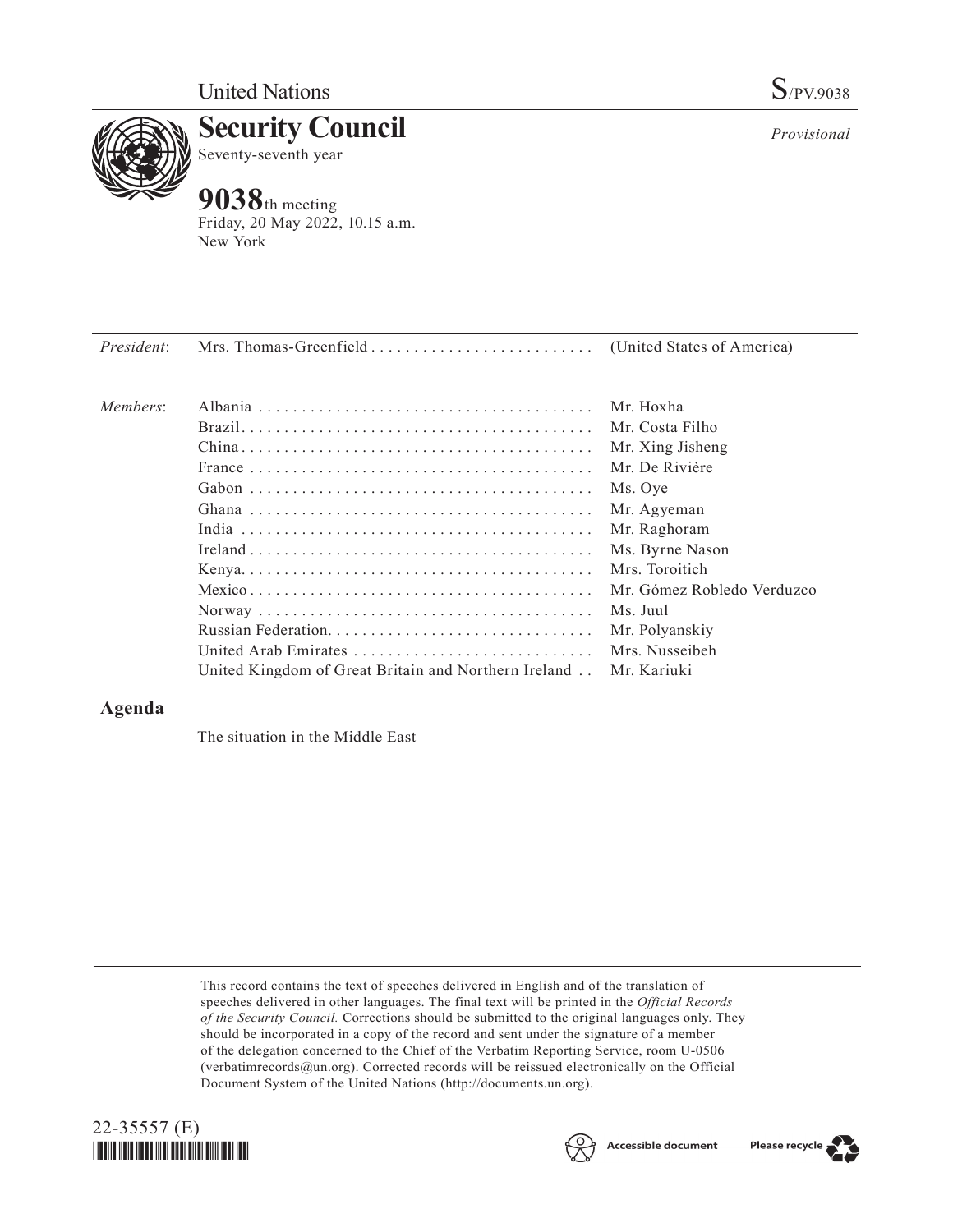

**Security Council** Seventy-seventh year

## **9038**th meeting

Friday, 20 May 2022, 10.15 a.m. New York

| President: |                                                                                                     |                            |
|------------|-----------------------------------------------------------------------------------------------------|----------------------------|
| Members:   |                                                                                                     | Mr. Hoxha                  |
|            |                                                                                                     | Mr. Costa Filho            |
|            |                                                                                                     | Mr. Xing Jisheng           |
|            |                                                                                                     | Mr. De Rivière             |
|            |                                                                                                     | Ms. Oye                    |
|            |                                                                                                     | Mr. Agyeman                |
|            |                                                                                                     | Mr. Raghoram               |
|            |                                                                                                     | Ms. Byrne Nason            |
|            |                                                                                                     | Mrs. Toroitich             |
|            | ${\bf Mexico}\dots\dots\dots\dots\dots\dots\dots\dots\dots\dots\dots\dots\dots\dots\dots\dots\dots$ | Mr. Gómez Robledo Verduzco |
|            |                                                                                                     | Ms. Juul                   |
|            |                                                                                                     | Mr. Polyanskiy             |
|            | United Arab Emirates                                                                                | Mrs. Nusseibeh             |
|            | United Kingdom of Great Britain and Northern Ireland                                                | Mr. Kariuki                |

## **Agenda**

The situation in the Middle East

This record contains the text of speeches delivered in English and of the translation of speeches delivered in other languages. The final text will be printed in the *Official Records of the Security Council.* Corrections should be submitted to the original languages only. They should be incorporated in a copy of the record and sent under the signature of a member of the delegation concerned to the Chief of the Verbatim Reporting Service, room U-0506 (verbatimrecords@un.org). Corrected records will be reissued electronically on the Official Document System of the United Nations (http://documents.un.org).







*Provisional*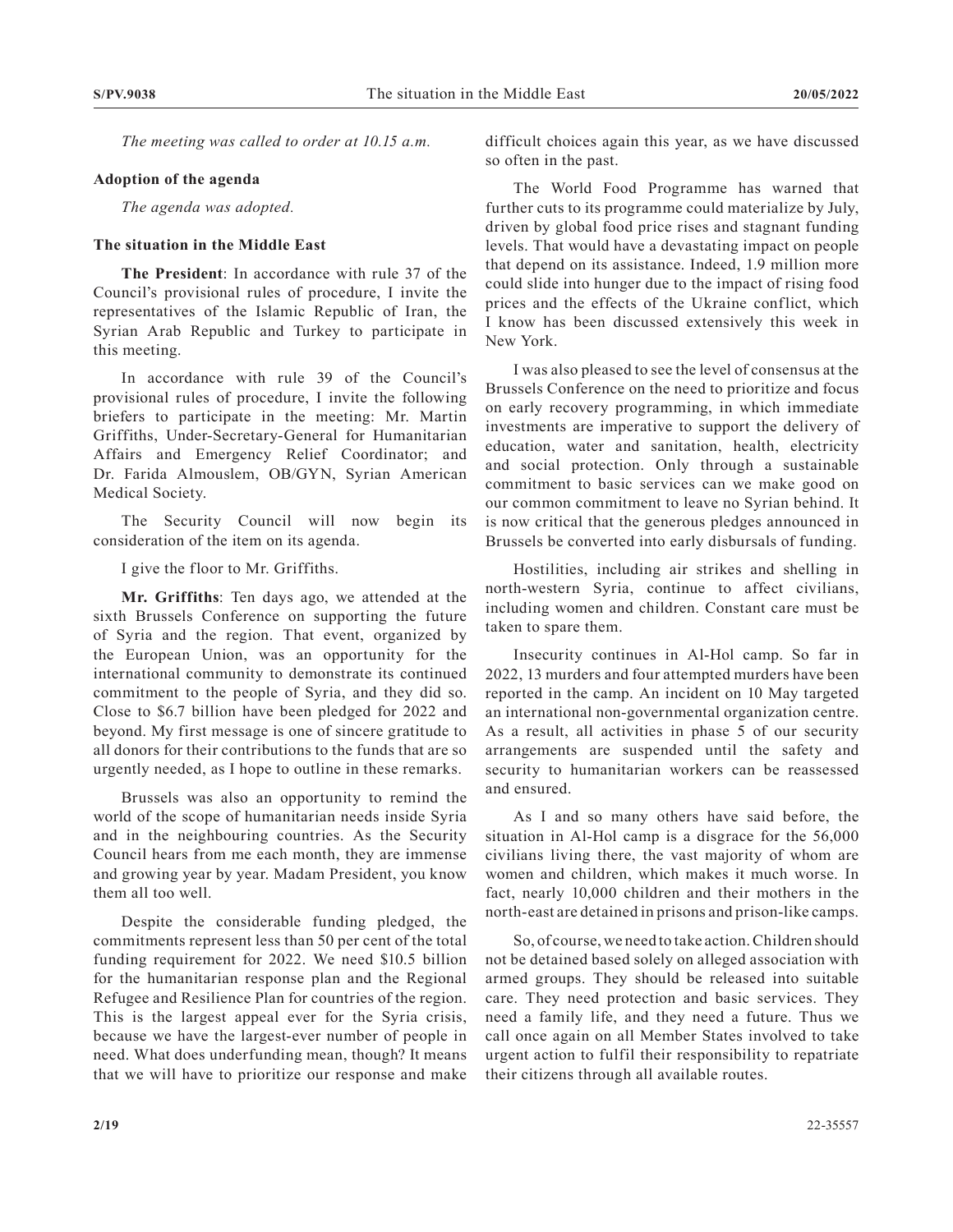*The meeting was called to order at 10.15 a.m.*

## **Adoption of the agenda**

*The agenda was adopted.*

## **The situation in the Middle East**

**The President**: In accordance with rule 37 of the Council's provisional rules of procedure, I invite the representatives of the Islamic Republic of Iran, the Syrian Arab Republic and Turkey to participate in this meeting.

In accordance with rule 39 of the Council's provisional rules of procedure, I invite the following briefers to participate in the meeting: Mr. Martin Griffiths, Under-Secretary-General for Humanitarian Affairs and Emergency Relief Coordinator; and Dr. Farida Almouslem, OB/GYN, Syrian American Medical Society.

The Security Council will now begin its consideration of the item on its agenda.

I give the floor to Mr. Griffiths.

**Mr. Griffiths**: Ten days ago, we attended at the sixth Brussels Conference on supporting the future of Syria and the region. That event, organized by the European Union, was an opportunity for the international community to demonstrate its continued commitment to the people of Syria, and they did so. Close to \$6.7 billion have been pledged for 2022 and beyond. My first message is one of sincere gratitude to all donors for their contributions to the funds that are so urgently needed, as I hope to outline in these remarks.

Brussels was also an opportunity to remind the world of the scope of humanitarian needs inside Syria and in the neighbouring countries. As the Security Council hears from me each month, they are immense and growing year by year. Madam President, you know them all too well.

Despite the considerable funding pledged, the commitments represent less than 50 per cent of the total funding requirement for 2022. We need \$10.5 billion for the humanitarian response plan and the Regional Refugee and Resilience Plan for countries of the region. This is the largest appeal ever for the Syria crisis, because we have the largest-ever number of people in need. What does underfunding mean, though? It means that we will have to prioritize our response and make

difficult choices again this year, as we have discussed so often in the past.

The World Food Programme has warned that further cuts to its programme could materialize by July, driven by global food price rises and stagnant funding levels. That would have a devastating impact on people that depend on its assistance. Indeed, 1.9 million more could slide into hunger due to the impact of rising food prices and the effects of the Ukraine conflict, which I know has been discussed extensively this week in New York.

I was also pleased to see the level of consensus at the Brussels Conference on the need to prioritize and focus on early recovery programming, in which immediate investments are imperative to support the delivery of education, water and sanitation, health, electricity and social protection. Only through a sustainable commitment to basic services can we make good on our common commitment to leave no Syrian behind. It is now critical that the generous pledges announced in Brussels be converted into early disbursals of funding.

Hostilities, including air strikes and shelling in north-western Syria, continue to affect civilians, including women and children. Constant care must be taken to spare them.

Insecurity continues in Al-Hol camp. So far in 2022, 13 murders and four attempted murders have been reported in the camp. An incident on 10 May targeted an international non-governmental organization centre. As a result, all activities in phase 5 of our security arrangements are suspended until the safety and security to humanitarian workers can be reassessed and ensured.

As I and so many others have said before, the situation in Al-Hol camp is a disgrace for the 56,000 civilians living there, the vast majority of whom are women and children, which makes it much worse. In fact, nearly 10,000 children and their mothers in the north-east are detained in prisons and prison-like camps.

So, of course, we need to take action. Children should not be detained based solely on alleged association with armed groups. They should be released into suitable care. They need protection and basic services. They need a family life, and they need a future. Thus we call once again on all Member States involved to take urgent action to fulfil their responsibility to repatriate their citizens through all available routes.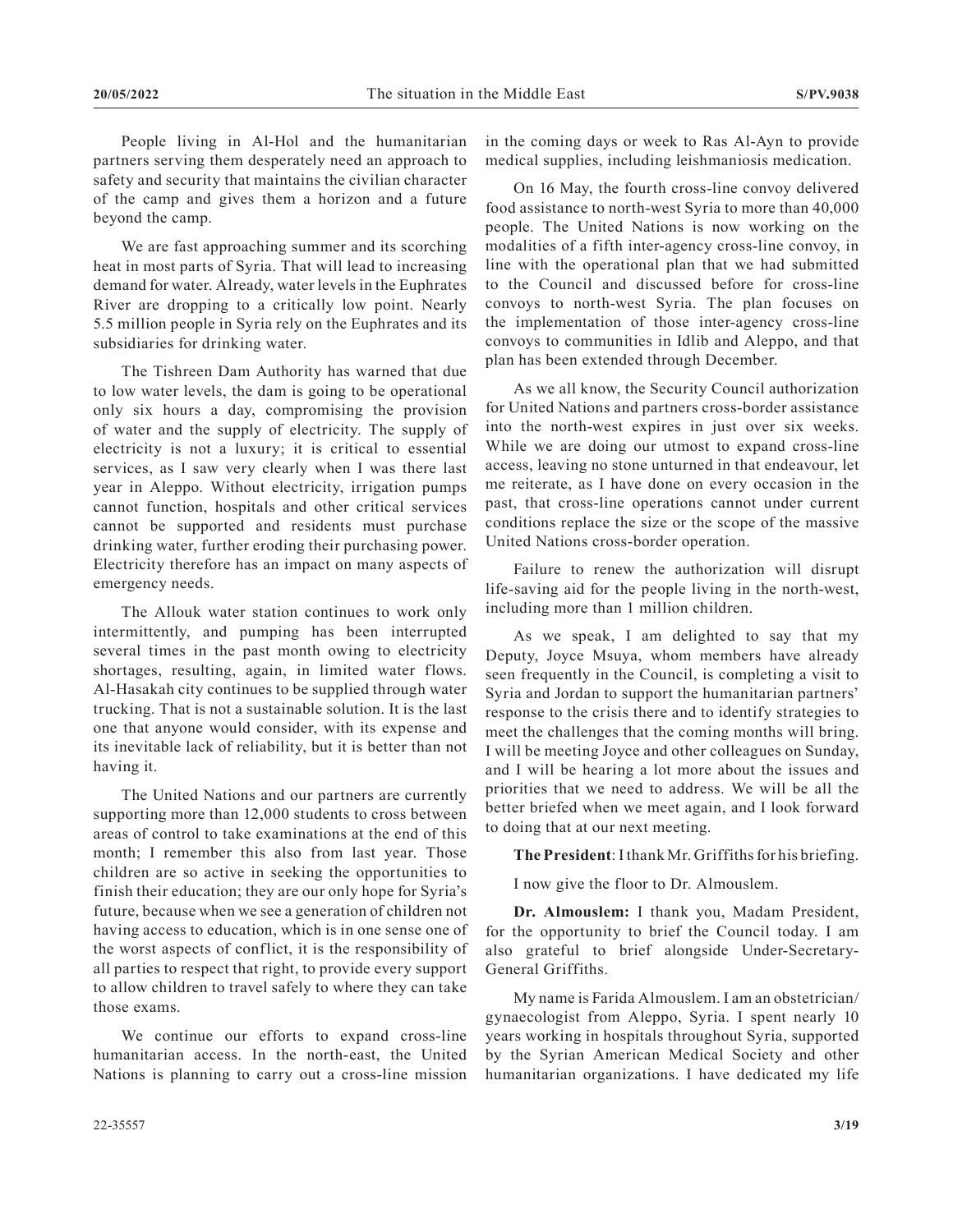People living in Al-Hol and the humanitarian partners serving them desperately need an approach to safety and security that maintains the civilian character of the camp and gives them a horizon and a future beyond the camp.

We are fast approaching summer and its scorching heat in most parts of Syria. That will lead to increasing demand for water. Already, water levels in the Euphrates River are dropping to a critically low point. Nearly 5.5 million people in Syria rely on the Euphrates and its subsidiaries for drinking water.

The Tishreen Dam Authority has warned that due to low water levels, the dam is going to be operational only six hours a day, compromising the provision of water and the supply of electricity. The supply of electricity is not a luxury; it is critical to essential services, as I saw very clearly when I was there last year in Aleppo. Without electricity, irrigation pumps cannot function, hospitals and other critical services cannot be supported and residents must purchase drinking water, further eroding their purchasing power. Electricity therefore has an impact on many aspects of emergency needs.

The Allouk water station continues to work only intermittently, and pumping has been interrupted several times in the past month owing to electricity shortages, resulting, again, in limited water flows. Al-Hasakah city continues to be supplied through water trucking. That is not a sustainable solution. It is the last one that anyone would consider, with its expense and its inevitable lack of reliability, but it is better than not having it.

The United Nations and our partners are currently supporting more than 12,000 students to cross between areas of control to take examinations at the end of this month; I remember this also from last year. Those children are so active in seeking the opportunities to finish their education; they are our only hope for Syria's future, because when we see a generation of children not having access to education, which is in one sense one of the worst aspects of conflict, it is the responsibility of all parties to respect that right, to provide every support to allow children to travel safely to where they can take those exams.

We continue our efforts to expand cross-line humanitarian access. In the north-east, the United Nations is planning to carry out a cross-line mission in the coming days or week to Ras Al-Ayn to provide medical supplies, including leishmaniosis medication.

On 16 May, the fourth cross-line convoy delivered food assistance to north-west Syria to more than 40,000 people. The United Nations is now working on the modalities of a fifth inter-agency cross-line convoy, in line with the operational plan that we had submitted to the Council and discussed before for cross-line convoys to north-west Syria. The plan focuses on the implementation of those inter-agency cross-line convoys to communities in Idlib and Aleppo, and that plan has been extended through December.

As we all know, the Security Council authorization for United Nations and partners cross-border assistance into the north-west expires in just over six weeks. While we are doing our utmost to expand cross-line access, leaving no stone unturned in that endeavour, let me reiterate, as I have done on every occasion in the past, that cross-line operations cannot under current conditions replace the size or the scope of the massive United Nations cross-border operation.

Failure to renew the authorization will disrupt life-saving aid for the people living in the north-west, including more than 1 million children.

As we speak, I am delighted to say that my Deputy, Joyce Msuya, whom members have already seen frequently in the Council, is completing a visit to Syria and Jordan to support the humanitarian partners' response to the crisis there and to identify strategies to meet the challenges that the coming months will bring. I will be meeting Joyce and other colleagues on Sunday, and I will be hearing a lot more about the issues and priorities that we need to address. We will be all the better briefed when we meet again, and I look forward to doing that at our next meeting.

**The President**: I thank Mr. Griffiths for his briefing.

I now give the floor to Dr. Almouslem.

**Dr. Almouslem:** I thank you, Madam President, for the opportunity to brief the Council today. I am also grateful to brief alongside Under-Secretary-General Griffiths.

My name is Farida Almouslem. I am an obstetrician/ gynaecologist from Aleppo, Syria. I spent nearly 10 years working in hospitals throughout Syria, supported by the Syrian American Medical Society and other humanitarian organizations. I have dedicated my life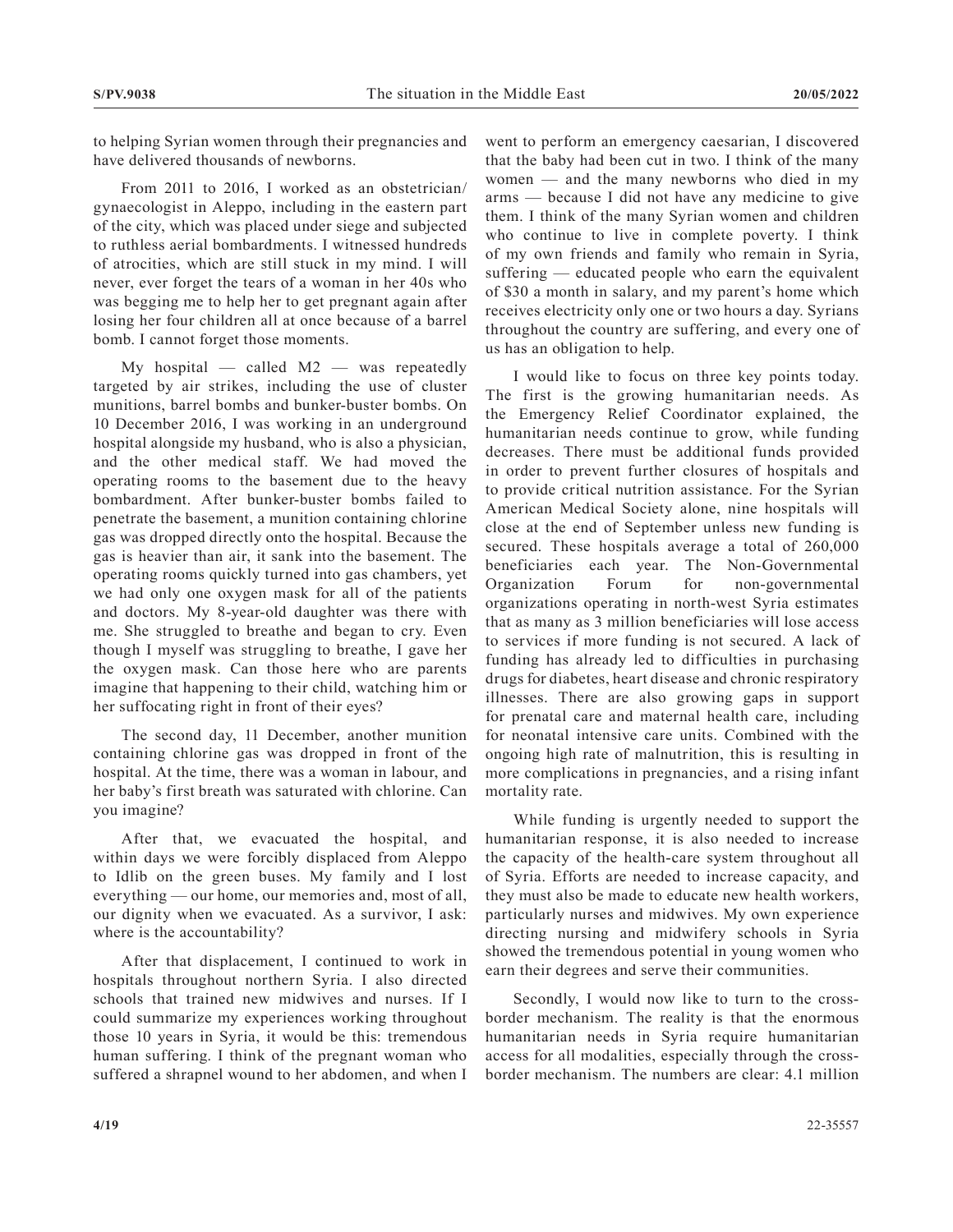to helping Syrian women through their pregnancies and have delivered thousands of newborns.

From 2011 to 2016, I worked as an obstetrician/ gynaecologist in Aleppo, including in the eastern part of the city, which was placed under siege and subjected to ruthless aerial bombardments. I witnessed hundreds of atrocities, which are still stuck in my mind. I will never, ever forget the tears of a woman in her 40s who was begging me to help her to get pregnant again after losing her four children all at once because of a barrel bomb. I cannot forget those moments.

My hospital — called M2 — was repeatedly targeted by air strikes, including the use of cluster munitions, barrel bombs and bunker-buster bombs. On 10 December 2016, I was working in an underground hospital alongside my husband, who is also a physician, and the other medical staff. We had moved the operating rooms to the basement due to the heavy bombardment. After bunker-buster bombs failed to penetrate the basement, a munition containing chlorine gas was dropped directly onto the hospital. Because the gas is heavier than air, it sank into the basement. The operating rooms quickly turned into gas chambers, yet we had only one oxygen mask for all of the patients and doctors. My 8-year-old daughter was there with me. She struggled to breathe and began to cry. Even though I myself was struggling to breathe, I gave her the oxygen mask. Can those here who are parents imagine that happening to their child, watching him or her suffocating right in front of their eyes?

The second day, 11 December, another munition containing chlorine gas was dropped in front of the hospital. At the time, there was a woman in labour, and her baby's first breath was saturated with chlorine. Can you imagine?

After that, we evacuated the hospital, and within days we were forcibly displaced from Aleppo to Idlib on the green buses. My family and I lost everything — our home, our memories and, most of all, our dignity when we evacuated. As a survivor, I ask: where is the accountability?

After that displacement, I continued to work in hospitals throughout northern Syria. I also directed schools that trained new midwives and nurses. If I could summarize my experiences working throughout those 10 years in Syria, it would be this: tremendous human suffering. I think of the pregnant woman who suffered a shrapnel wound to her abdomen, and when I

went to perform an emergency caesarian, I discovered that the baby had been cut in two. I think of the many women — and the many newborns who died in my arms — because I did not have any medicine to give them. I think of the many Syrian women and children who continue to live in complete poverty. I think of my own friends and family who remain in Syria, suffering — educated people who earn the equivalent of \$30 a month in salary, and my parent's home which receives electricity only one or two hours a day. Syrians throughout the country are suffering, and every one of us has an obligation to help.

I would like to focus on three key points today. The first is the growing humanitarian needs. As the Emergency Relief Coordinator explained, the humanitarian needs continue to grow, while funding decreases. There must be additional funds provided in order to prevent further closures of hospitals and to provide critical nutrition assistance. For the Syrian American Medical Society alone, nine hospitals will close at the end of September unless new funding is secured. These hospitals average a total of 260,000 beneficiaries each year. The Non-Governmental Organization Forum for non-governmental organizations operating in north-west Syria estimates that as many as 3 million beneficiaries will lose access to services if more funding is not secured. A lack of funding has already led to difficulties in purchasing drugs for diabetes, heart disease and chronic respiratory illnesses. There are also growing gaps in support for prenatal care and maternal health care, including for neonatal intensive care units. Combined with the ongoing high rate of malnutrition, this is resulting in more complications in pregnancies, and a rising infant mortality rate.

While funding is urgently needed to support the humanitarian response, it is also needed to increase the capacity of the health-care system throughout all of Syria. Efforts are needed to increase capacity, and they must also be made to educate new health workers, particularly nurses and midwives. My own experience directing nursing and midwifery schools in Syria showed the tremendous potential in young women who earn their degrees and serve their communities.

Secondly, I would now like to turn to the crossborder mechanism. The reality is that the enormous humanitarian needs in Syria require humanitarian access for all modalities, especially through the crossborder mechanism. The numbers are clear: 4.1 million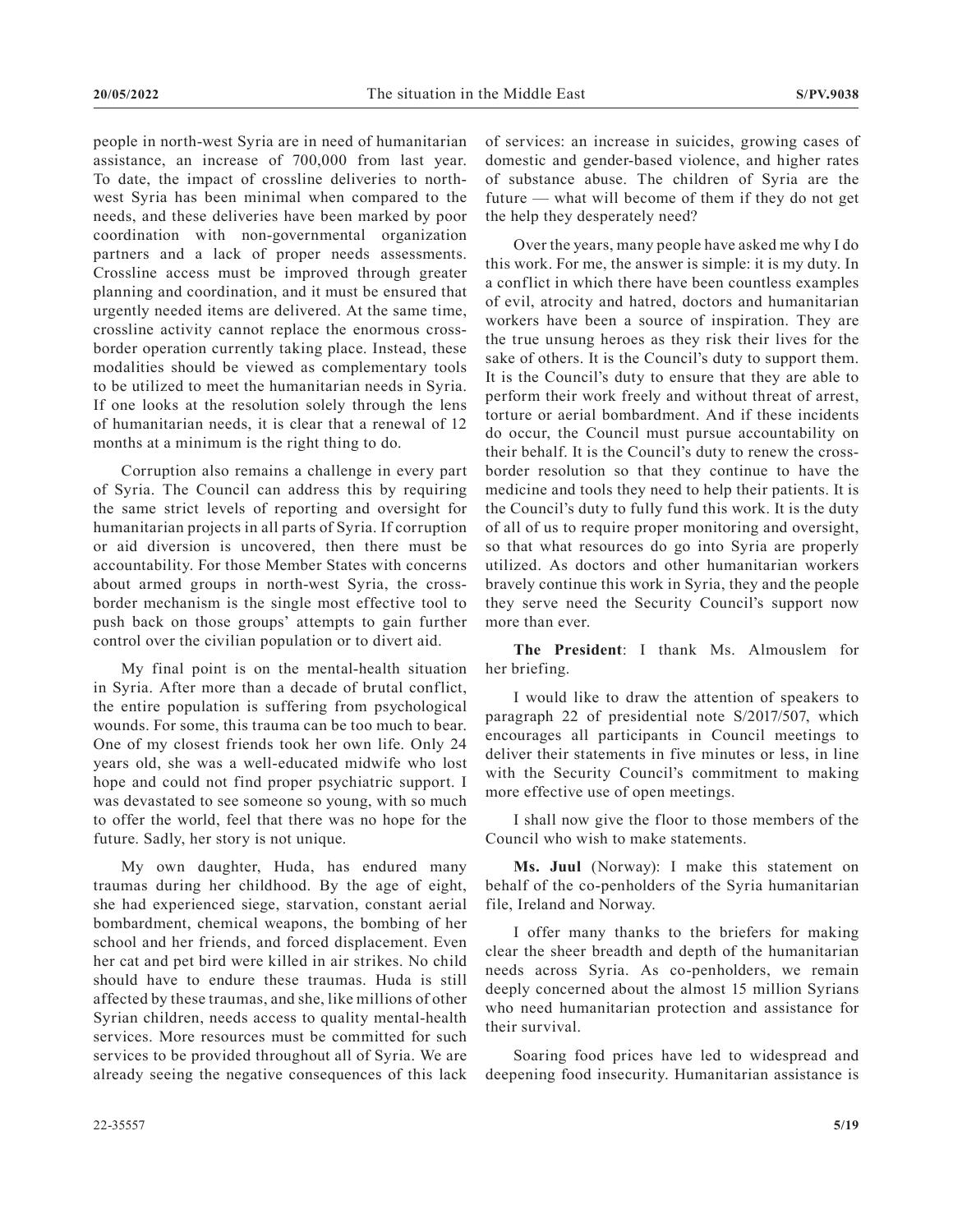people in north-west Syria are in need of humanitarian assistance, an increase of 700,000 from last year. To date, the impact of crossline deliveries to northwest Syria has been minimal when compared to the needs, and these deliveries have been marked by poor coordination with non-governmental organization partners and a lack of proper needs assessments. Crossline access must be improved through greater planning and coordination, and it must be ensured that urgently needed items are delivered. At the same time, crossline activity cannot replace the enormous crossborder operation currently taking place. Instead, these modalities should be viewed as complementary tools to be utilized to meet the humanitarian needs in Syria. If one looks at the resolution solely through the lens of humanitarian needs, it is clear that a renewal of 12 months at a minimum is the right thing to do.

Corruption also remains a challenge in every part of Syria. The Council can address this by requiring the same strict levels of reporting and oversight for humanitarian projects in all parts of Syria. If corruption or aid diversion is uncovered, then there must be accountability. For those Member States with concerns about armed groups in north-west Syria, the crossborder mechanism is the single most effective tool to push back on those groups' attempts to gain further control over the civilian population or to divert aid.

My final point is on the mental-health situation in Syria. After more than a decade of brutal conflict, the entire population is suffering from psychological wounds. For some, this trauma can be too much to bear. One of my closest friends took her own life. Only 24 years old, she was a well-educated midwife who lost hope and could not find proper psychiatric support. I was devastated to see someone so young, with so much to offer the world, feel that there was no hope for the future. Sadly, her story is not unique.

My own daughter, Huda, has endured many traumas during her childhood. By the age of eight, she had experienced siege, starvation, constant aerial bombardment, chemical weapons, the bombing of her school and her friends, and forced displacement. Even her cat and pet bird were killed in air strikes. No child should have to endure these traumas. Huda is still affected by these traumas, and she, like millions of other Syrian children, needs access to quality mental-health services. More resources must be committed for such services to be provided throughout all of Syria. We are already seeing the negative consequences of this lack

of services: an increase in suicides, growing cases of domestic and gender-based violence, and higher rates of substance abuse. The children of Syria are the future — what will become of them if they do not get the help they desperately need?

Over the years, many people have asked me why I do this work. For me, the answer is simple: it is my duty. In a conflict in which there have been countless examples of evil, atrocity and hatred, doctors and humanitarian workers have been a source of inspiration. They are the true unsung heroes as they risk their lives for the sake of others. It is the Council's duty to support them. It is the Council's duty to ensure that they are able to perform their work freely and without threat of arrest, torture or aerial bombardment. And if these incidents do occur, the Council must pursue accountability on their behalf. It is the Council's duty to renew the crossborder resolution so that they continue to have the medicine and tools they need to help their patients. It is the Council's duty to fully fund this work. It is the duty of all of us to require proper monitoring and oversight, so that what resources do go into Syria are properly utilized. As doctors and other humanitarian workers bravely continue this work in Syria, they and the people they serve need the Security Council's support now more than ever.

**The President**: I thank Ms. Almouslem for her briefing.

I would like to draw the attention of speakers to paragraph 22 of presidential note S/2017/507, which encourages all participants in Council meetings to deliver their statements in five minutes or less, in line with the Security Council's commitment to making more effective use of open meetings.

I shall now give the floor to those members of the Council who wish to make statements.

**Ms. Juul** (Norway): I make this statement on behalf of the co-penholders of the Syria humanitarian file, Ireland and Norway.

I offer many thanks to the briefers for making clear the sheer breadth and depth of the humanitarian needs across Syria. As co-penholders, we remain deeply concerned about the almost 15 million Syrians who need humanitarian protection and assistance for their survival.

Soaring food prices have led to widespread and deepening food insecurity. Humanitarian assistance is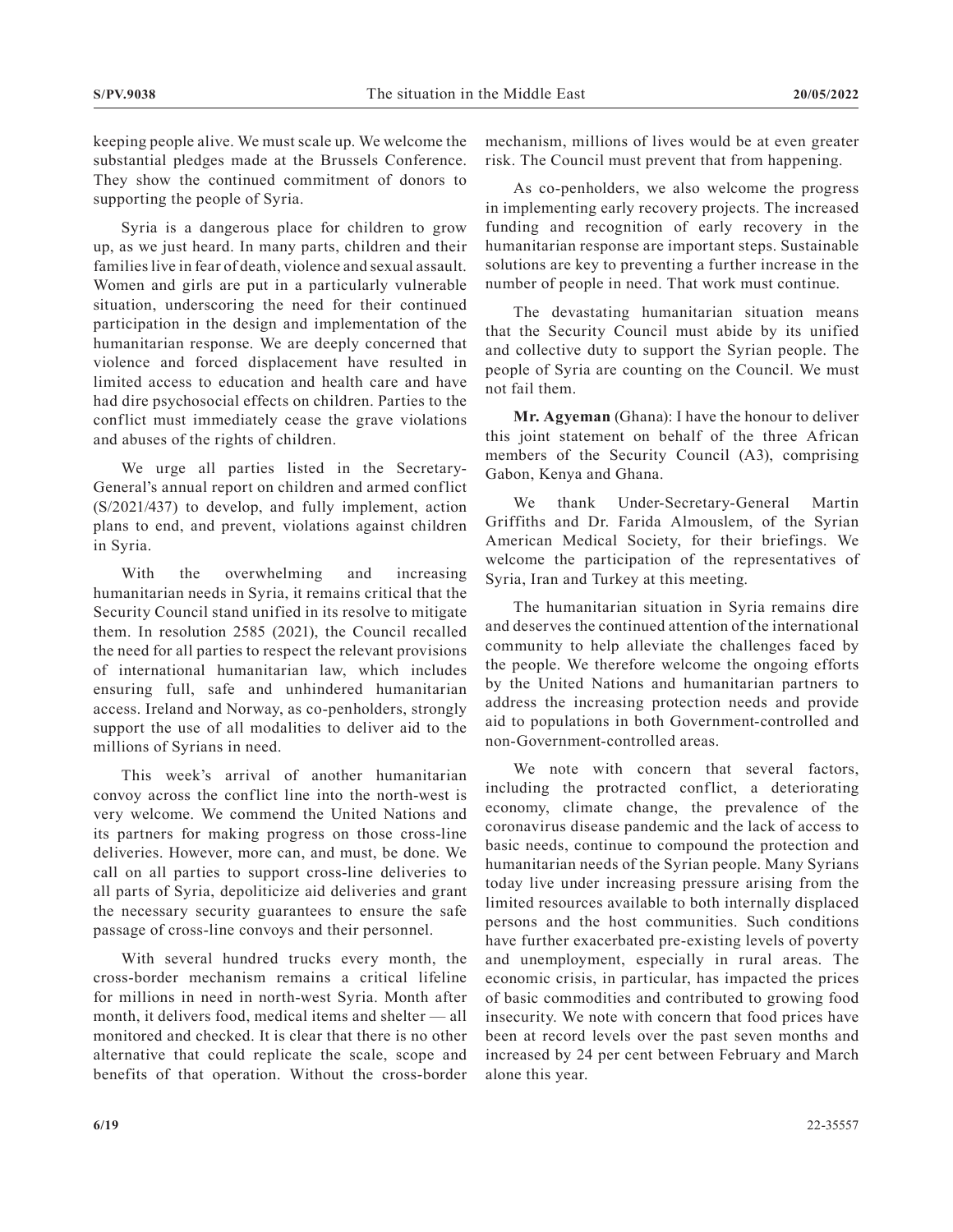keeping people alive. We must scale up. We welcome the substantial pledges made at the Brussels Conference. They show the continued commitment of donors to supporting the people of Syria.

Syria is a dangerous place for children to grow up, as we just heard. In many parts, children and their families live in fear of death, violence and sexual assault. Women and girls are put in a particularly vulnerable situation, underscoring the need for their continued participation in the design and implementation of the humanitarian response. We are deeply concerned that violence and forced displacement have resulted in limited access to education and health care and have had dire psychosocial effects on children. Parties to the conflict must immediately cease the grave violations and abuses of the rights of children.

We urge all parties listed in the Secretary-General's annual report on children and armed conflict (S/2021/437) to develop, and fully implement, action plans to end, and prevent, violations against children in Syria.

With the overwhelming and increasing humanitarian needs in Syria, it remains critical that the Security Council stand unified in its resolve to mitigate them. In resolution 2585 (2021), the Council recalled the need for all parties to respect the relevant provisions of international humanitarian law, which includes ensuring full, safe and unhindered humanitarian access. Ireland and Norway, as co-penholders, strongly support the use of all modalities to deliver aid to the millions of Syrians in need.

This week's arrival of another humanitarian convoy across the conflict line into the north-west is very welcome. We commend the United Nations and its partners for making progress on those cross-line deliveries. However, more can, and must, be done. We call on all parties to support cross-line deliveries to all parts of Syria, depoliticize aid deliveries and grant the necessary security guarantees to ensure the safe passage of cross-line convoys and their personnel.

With several hundred trucks every month, the cross-border mechanism remains a critical lifeline for millions in need in north-west Syria. Month after month, it delivers food, medical items and shelter — all monitored and checked. It is clear that there is no other alternative that could replicate the scale, scope and benefits of that operation. Without the cross-border mechanism, millions of lives would be at even greater risk. The Council must prevent that from happening.

As co-penholders, we also welcome the progress in implementing early recovery projects. The increased funding and recognition of early recovery in the humanitarian response are important steps. Sustainable solutions are key to preventing a further increase in the number of people in need. That work must continue.

The devastating humanitarian situation means that the Security Council must abide by its unified and collective duty to support the Syrian people. The people of Syria are counting on the Council. We must not fail them.

**Mr. Agyeman** (Ghana): I have the honour to deliver this joint statement on behalf of the three African members of the Security Council (A3), comprising Gabon, Kenya and Ghana.

We thank Under-Secretary-General Martin Griffiths and Dr. Farida Almouslem, of the Syrian American Medical Society, for their briefings. We welcome the participation of the representatives of Syria, Iran and Turkey at this meeting.

The humanitarian situation in Syria remains dire and deserves the continued attention of the international community to help alleviate the challenges faced by the people. We therefore welcome the ongoing efforts by the United Nations and humanitarian partners to address the increasing protection needs and provide aid to populations in both Government-controlled and non-Government-controlled areas.

We note with concern that several factors, including the protracted conflict, a deteriorating economy, climate change, the prevalence of the coronavirus disease pandemic and the lack of access to basic needs, continue to compound the protection and humanitarian needs of the Syrian people. Many Syrians today live under increasing pressure arising from the limited resources available to both internally displaced persons and the host communities. Such conditions have further exacerbated pre-existing levels of poverty and unemployment, especially in rural areas. The economic crisis, in particular, has impacted the prices of basic commodities and contributed to growing food insecurity. We note with concern that food prices have been at record levels over the past seven months and increased by 24 per cent between February and March alone this year.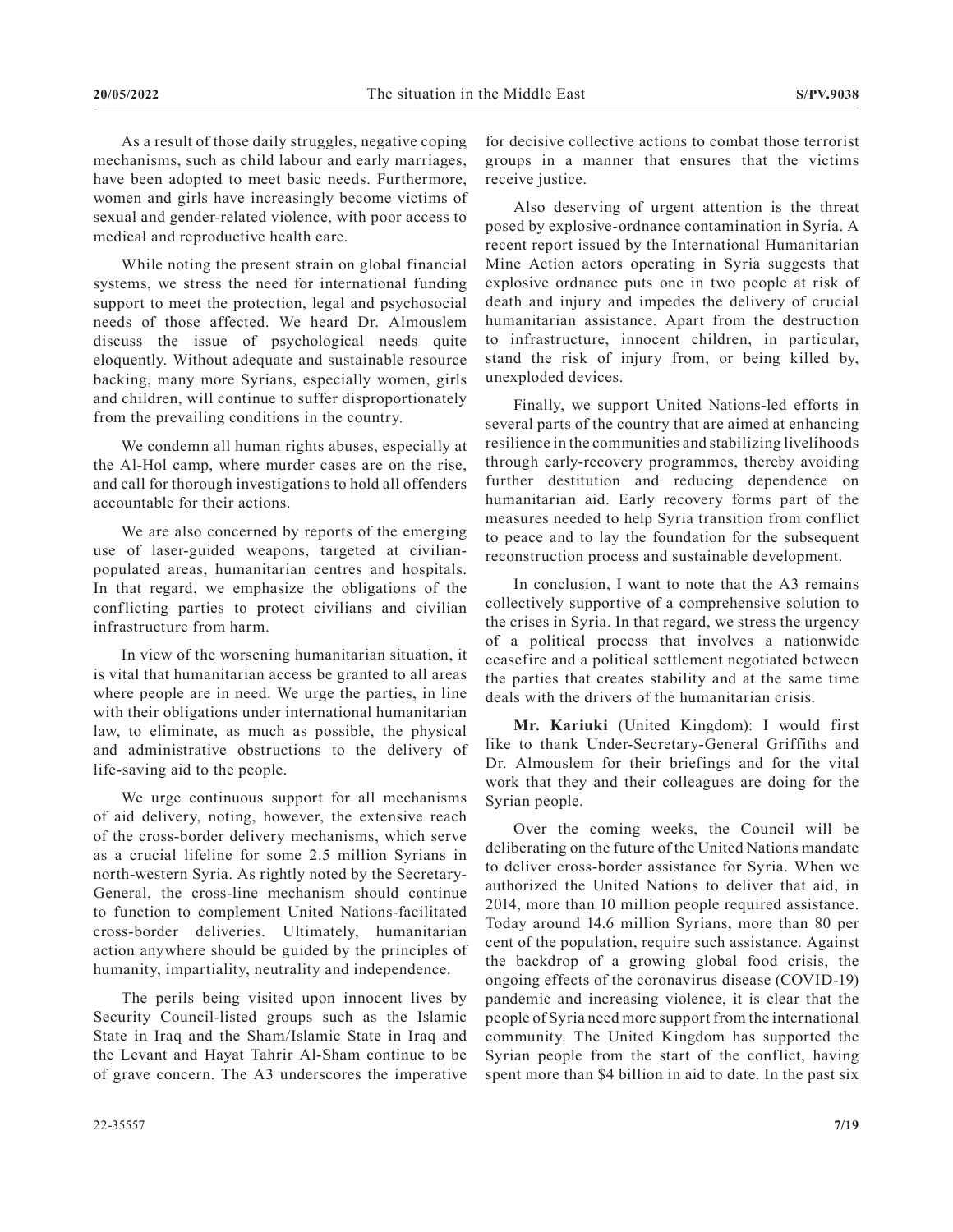As a result of those daily struggles, negative coping mechanisms, such as child labour and early marriages, have been adopted to meet basic needs. Furthermore, women and girls have increasingly become victims of sexual and gender-related violence, with poor access to medical and reproductive health care.

While noting the present strain on global financial systems, we stress the need for international funding support to meet the protection, legal and psychosocial needs of those affected. We heard Dr. Almouslem discuss the issue of psychological needs quite eloquently. Without adequate and sustainable resource backing, many more Syrians, especially women, girls and children, will continue to suffer disproportionately from the prevailing conditions in the country.

We condemn all human rights abuses, especially at the Al-Hol camp, where murder cases are on the rise, and call for thorough investigations to hold all offenders accountable for their actions.

We are also concerned by reports of the emerging use of laser-guided weapons, targeted at civilianpopulated areas, humanitarian centres and hospitals. In that regard, we emphasize the obligations of the conflicting parties to protect civilians and civilian infrastructure from harm.

In view of the worsening humanitarian situation, it is vital that humanitarian access be granted to all areas where people are in need. We urge the parties, in line with their obligations under international humanitarian law, to eliminate, as much as possible, the physical and administrative obstructions to the delivery of life-saving aid to the people.

We urge continuous support for all mechanisms of aid delivery, noting, however, the extensive reach of the cross-border delivery mechanisms, which serve as a crucial lifeline for some 2.5 million Syrians in north-western Syria. As rightly noted by the Secretary-General, the cross-line mechanism should continue to function to complement United Nations-facilitated cross-border deliveries. Ultimately, humanitarian action anywhere should be guided by the principles of humanity, impartiality, neutrality and independence.

The perils being visited upon innocent lives by Security Council-listed groups such as the Islamic State in Iraq and the Sham/Islamic State in Iraq and the Levant and Hayat Tahrir Al-Sham continue to be of grave concern. The A3 underscores the imperative

for decisive collective actions to combat those terrorist groups in a manner that ensures that the victims receive justice.

Also deserving of urgent attention is the threat posed by explosive-ordnance contamination in Syria. A recent report issued by the International Humanitarian Mine Action actors operating in Syria suggests that explosive ordnance puts one in two people at risk of death and injury and impedes the delivery of crucial humanitarian assistance. Apart from the destruction to infrastructure, innocent children, in particular, stand the risk of injury from, or being killed by, unexploded devices.

Finally, we support United Nations-led efforts in several parts of the country that are aimed at enhancing resilience in the communities and stabilizing livelihoods through early-recovery programmes, thereby avoiding further destitution and reducing dependence on humanitarian aid. Early recovery forms part of the measures needed to help Syria transition from conflict to peace and to lay the foundation for the subsequent reconstruction process and sustainable development.

In conclusion, I want to note that the A3 remains collectively supportive of a comprehensive solution to the crises in Syria. In that regard, we stress the urgency of a political process that involves a nationwide ceasefire and a political settlement negotiated between the parties that creates stability and at the same time deals with the drivers of the humanitarian crisis.

**Mr. Kariuki** (United Kingdom): I would first like to thank Under-Secretary-General Griffiths and Dr. Almouslem for their briefings and for the vital work that they and their colleagues are doing for the Syrian people.

Over the coming weeks, the Council will be deliberating on the future of the United Nations mandate to deliver cross-border assistance for Syria. When we authorized the United Nations to deliver that aid, in 2014, more than 10 million people required assistance. Today around 14.6 million Syrians, more than 80 per cent of the population, require such assistance. Against the backdrop of a growing global food crisis, the ongoing effects of the coronavirus disease (COVID-19) pandemic and increasing violence, it is clear that the people of Syria need more support from the international community. The United Kingdom has supported the Syrian people from the start of the conflict, having spent more than \$4 billion in aid to date. In the past six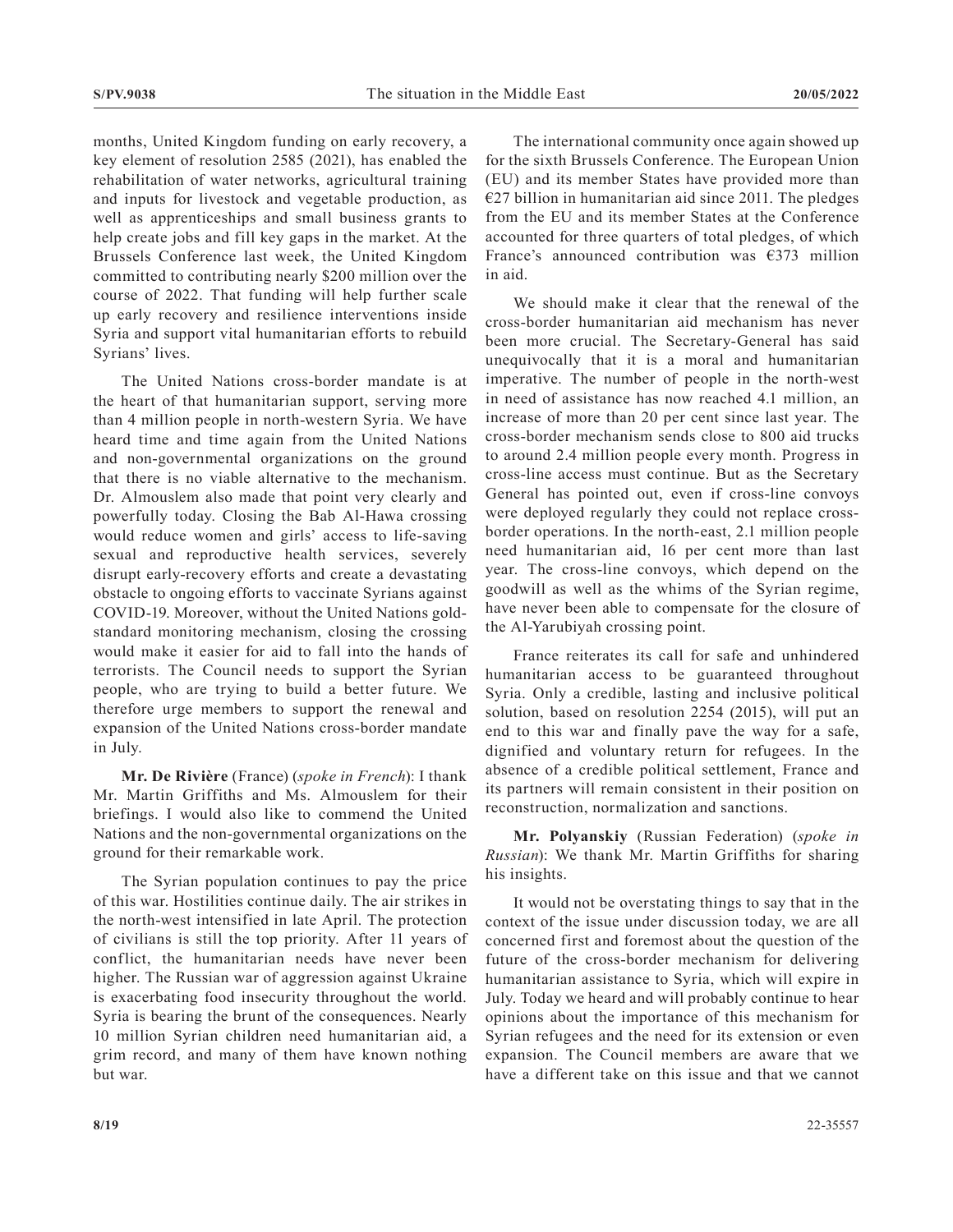months, United Kingdom funding on early recovery, a key element of resolution 2585 (2021), has enabled the rehabilitation of water networks, agricultural training and inputs for livestock and vegetable production, as well as apprenticeships and small business grants to help create jobs and fill key gaps in the market. At the Brussels Conference last week, the United Kingdom committed to contributing nearly \$200 million over the course of 2022. That funding will help further scale up early recovery and resilience interventions inside Syria and support vital humanitarian efforts to rebuild Syrians' lives.

The United Nations cross-border mandate is at the heart of that humanitarian support, serving more than 4 million people in north-western Syria. We have heard time and time again from the United Nations and non-governmental organizations on the ground that there is no viable alternative to the mechanism. Dr. Almouslem also made that point very clearly and powerfully today. Closing the Bab Al-Hawa crossing would reduce women and girls' access to life-saving sexual and reproductive health services, severely disrupt early-recovery efforts and create a devastating obstacle to ongoing efforts to vaccinate Syrians against COVID-19. Moreover, without the United Nations goldstandard monitoring mechanism, closing the crossing would make it easier for aid to fall into the hands of terrorists. The Council needs to support the Syrian people, who are trying to build a better future. We therefore urge members to support the renewal and expansion of the United Nations cross-border mandate in July.

**Mr. De Rivière** (France) (*spoke in French*): I thank Mr. Martin Griffiths and Ms. Almouslem for their briefings. I would also like to commend the United Nations and the non-governmental organizations on the ground for their remarkable work.

The Syrian population continues to pay the price of this war. Hostilities continue daily. The air strikes in the north-west intensified in late April. The protection of civilians is still the top priority. After 11 years of conflict, the humanitarian needs have never been higher. The Russian war of aggression against Ukraine is exacerbating food insecurity throughout the world. Syria is bearing the brunt of the consequences. Nearly 10 million Syrian children need humanitarian aid, a grim record, and many of them have known nothing but war.

The international community once again showed up for the sixth Brussels Conference. The European Union (EU) and its member States have provided more than  $€27$  billion in humanitarian aid since 2011. The pledges from the EU and its member States at the Conference accounted for three quarters of total pledges, of which France's announced contribution was  $\epsilon$ 373 million in aid.

We should make it clear that the renewal of the cross-border humanitarian aid mechanism has never been more crucial. The Secretary-General has said unequivocally that it is a moral and humanitarian imperative. The number of people in the north-west in need of assistance has now reached 4.1 million, an increase of more than 20 per cent since last year. The cross-border mechanism sends close to 800 aid trucks to around 2.4 million people every month. Progress in cross-line access must continue. But as the Secretary General has pointed out, even if cross-line convoys were deployed regularly they could not replace crossborder operations. In the north-east, 2.1 million people need humanitarian aid, 16 per cent more than last year. The cross-line convoys, which depend on the goodwill as well as the whims of the Syrian regime, have never been able to compensate for the closure of the Al-Yarubiyah crossing point.

France reiterates its call for safe and unhindered humanitarian access to be guaranteed throughout Syria. Only a credible, lasting and inclusive political solution, based on resolution 2254 (2015), will put an end to this war and finally pave the way for a safe, dignified and voluntary return for refugees. In the absence of a credible political settlement, France and its partners will remain consistent in their position on reconstruction, normalization and sanctions.

**Mr. Polyanskiy** (Russian Federation) (*spoke in Russian*): We thank Mr. Martin Griffiths for sharing his insights.

It would not be overstating things to say that in the context of the issue under discussion today, we are all concerned first and foremost about the question of the future of the cross-border mechanism for delivering humanitarian assistance to Syria, which will expire in July. Today we heard and will probably continue to hear opinions about the importance of this mechanism for Syrian refugees and the need for its extension or even expansion. The Council members are aware that we have a different take on this issue and that we cannot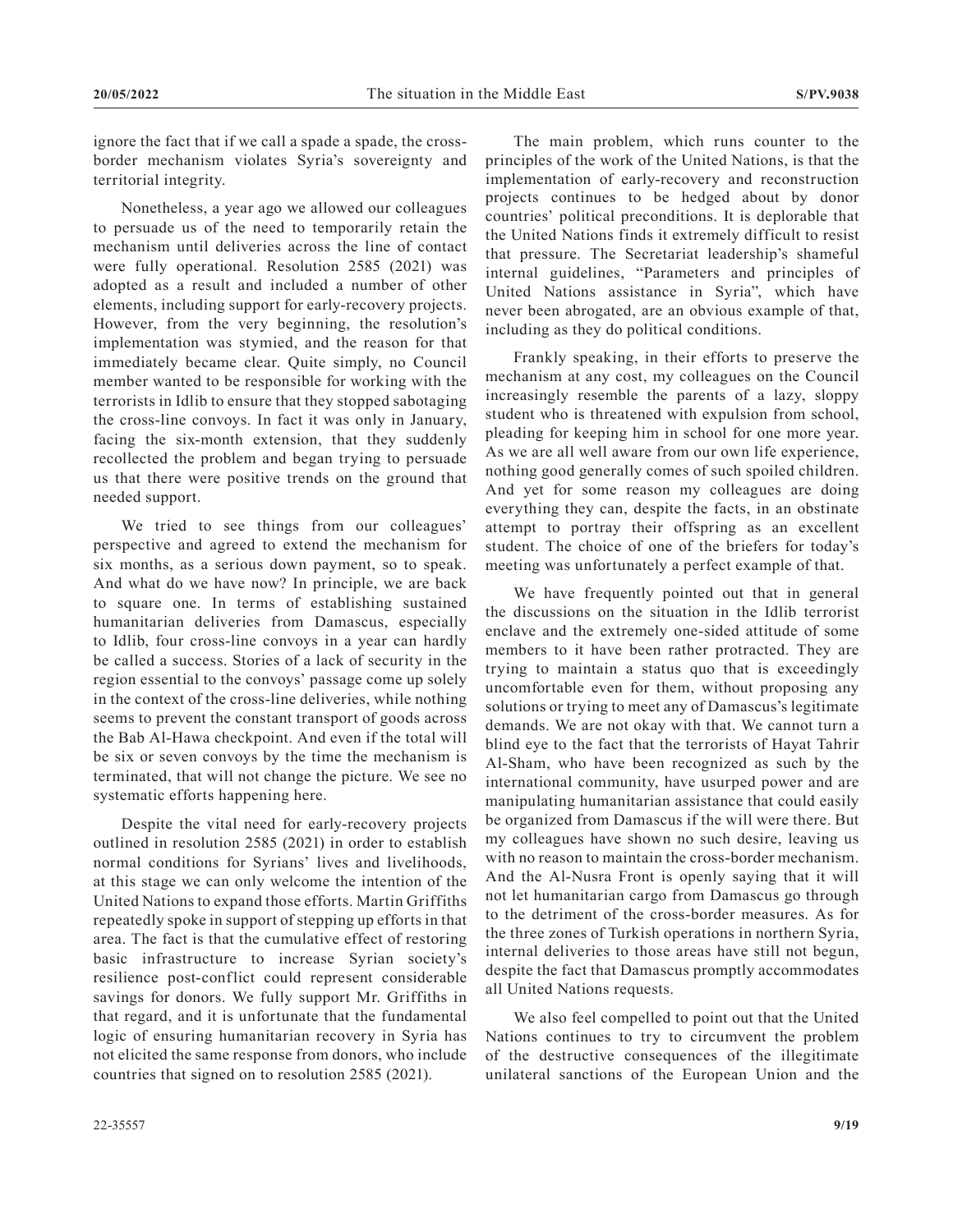ignore the fact that if we call a spade a spade, the crossborder mechanism violates Syria's sovereignty and territorial integrity.

Nonetheless, a year ago we allowed our colleagues to persuade us of the need to temporarily retain the mechanism until deliveries across the line of contact were fully operational. Resolution 2585 (2021) was adopted as a result and included a number of other elements, including support for early-recovery projects. However, from the very beginning, the resolution's implementation was stymied, and the reason for that immediately became clear. Quite simply, no Council member wanted to be responsible for working with the terrorists in Idlib to ensure that they stopped sabotaging the cross-line convoys. In fact it was only in January, facing the six-month extension, that they suddenly recollected the problem and began trying to persuade us that there were positive trends on the ground that needed support.

We tried to see things from our colleagues' perspective and agreed to extend the mechanism for six months, as a serious down payment, so to speak. And what do we have now? In principle, we are back to square one. In terms of establishing sustained humanitarian deliveries from Damascus, especially to Idlib, four cross-line convoys in a year can hardly be called a success. Stories of a lack of security in the region essential to the convoys' passage come up solely in the context of the cross-line deliveries, while nothing seems to prevent the constant transport of goods across the Bab Al-Hawa checkpoint. And even if the total will be six or seven convoys by the time the mechanism is terminated, that will not change the picture. We see no systematic efforts happening here.

Despite the vital need for early-recovery projects outlined in resolution 2585 (2021) in order to establish normal conditions for Syrians' lives and livelihoods, at this stage we can only welcome the intention of the United Nations to expand those efforts. Martin Griffiths repeatedly spoke in support of stepping up efforts in that area. The fact is that the cumulative effect of restoring basic infrastructure to increase Syrian society's resilience post-conflict could represent considerable savings for donors. We fully support Mr. Griffiths in that regard, and it is unfortunate that the fundamental logic of ensuring humanitarian recovery in Syria has not elicited the same response from donors, who include countries that signed on to resolution 2585 (2021).

The main problem, which runs counter to the principles of the work of the United Nations, is that the implementation of early-recovery and reconstruction projects continues to be hedged about by donor countries' political preconditions. It is deplorable that the United Nations finds it extremely difficult to resist that pressure. The Secretariat leadership's shameful internal guidelines, "Parameters and principles of United Nations assistance in Syria", which have never been abrogated, are an obvious example of that, including as they do political conditions.

Frankly speaking, in their efforts to preserve the mechanism at any cost, my colleagues on the Council increasingly resemble the parents of a lazy, sloppy student who is threatened with expulsion from school, pleading for keeping him in school for one more year. As we are all well aware from our own life experience, nothing good generally comes of such spoiled children. And yet for some reason my colleagues are doing everything they can, despite the facts, in an obstinate attempt to portray their offspring as an excellent student. The choice of one of the briefers for today's meeting was unfortunately a perfect example of that.

We have frequently pointed out that in general the discussions on the situation in the Idlib terrorist enclave and the extremely one-sided attitude of some members to it have been rather protracted. They are trying to maintain a status quo that is exceedingly uncomfortable even for them, without proposing any solutions or trying to meet any of Damascus's legitimate demands. We are not okay with that. We cannot turn a blind eye to the fact that the terrorists of Hayat Tahrir Al-Sham, who have been recognized as such by the international community, have usurped power and are manipulating humanitarian assistance that could easily be organized from Damascus if the will were there. But my colleagues have shown no such desire, leaving us with no reason to maintain the cross-border mechanism. And the Al-Nusra Front is openly saying that it will not let humanitarian cargo from Damascus go through to the detriment of the cross-border measures. As for the three zones of Turkish operations in northern Syria, internal deliveries to those areas have still not begun, despite the fact that Damascus promptly accommodates all United Nations requests.

We also feel compelled to point out that the United Nations continues to try to circumvent the problem of the destructive consequences of the illegitimate unilateral sanctions of the European Union and the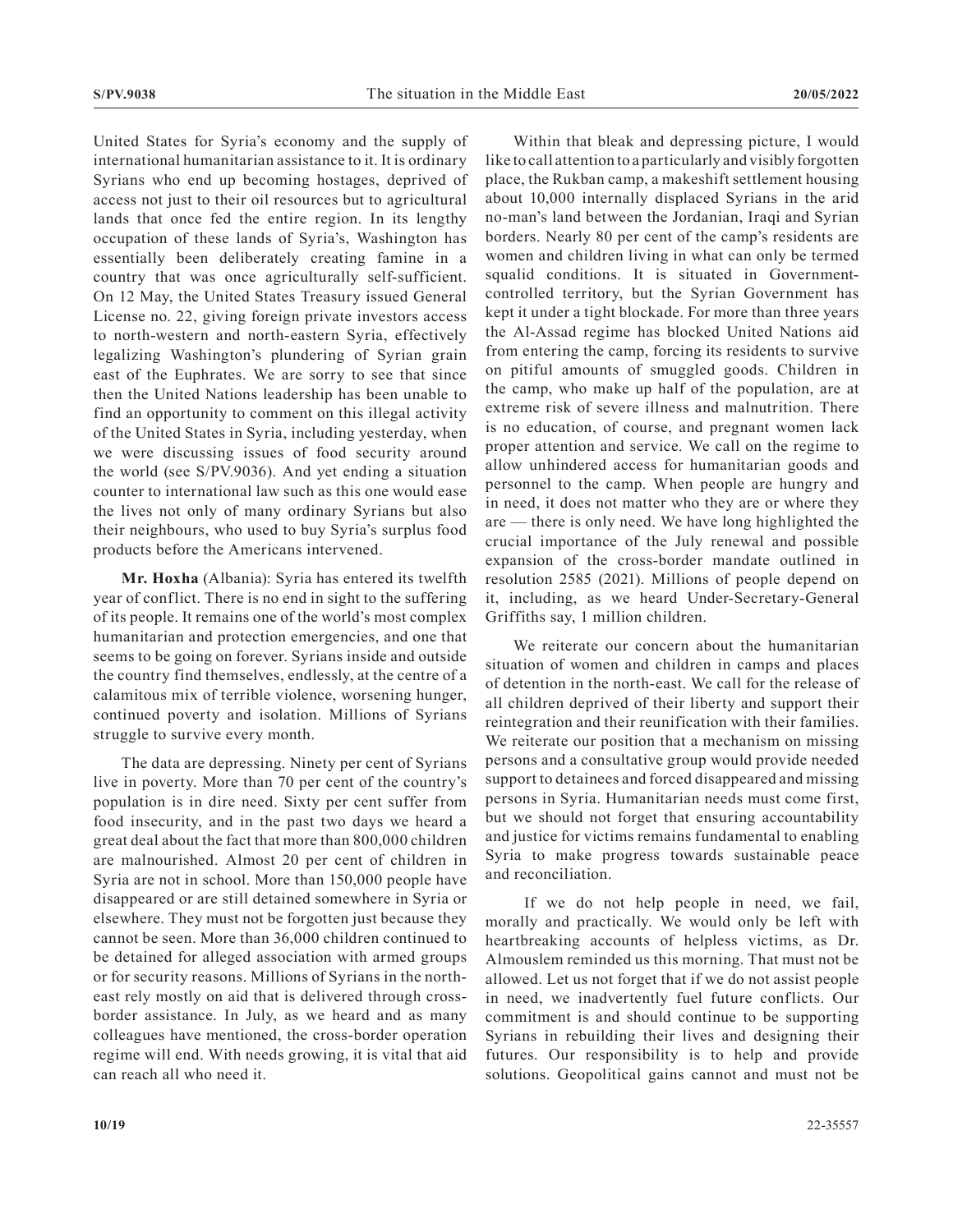United States for Syria's economy and the supply of international humanitarian assistance to it. It is ordinary Syrians who end up becoming hostages, deprived of access not just to their oil resources but to agricultural lands that once fed the entire region. In its lengthy occupation of these lands of Syria's, Washington has essentially been deliberately creating famine in a country that was once agriculturally self-sufficient. On 12 May, the United States Treasury issued General License no. 22, giving foreign private investors access to north-western and north-eastern Syria, effectively legalizing Washington's plundering of Syrian grain east of the Euphrates. We are sorry to see that since then the United Nations leadership has been unable to find an opportunity to comment on this illegal activity of the United States in Syria, including yesterday, when we were discussing issues of food security around the world (see S/PV.9036). And yet ending a situation counter to international law such as this one would ease the lives not only of many ordinary Syrians but also their neighbours, who used to buy Syria's surplus food products before the Americans intervened.

**Mr. Hoxha** (Albania): Syria has entered its twelfth year of conflict. There is no end in sight to the suffering of its people. It remains one of the world's most complex humanitarian and protection emergencies, and one that seems to be going on forever. Syrians inside and outside the country find themselves, endlessly, at the centre of a calamitous mix of terrible violence, worsening hunger, continued poverty and isolation. Millions of Syrians struggle to survive every month.

The data are depressing. Ninety per cent of Syrians live in poverty. More than 70 per cent of the country's population is in dire need. Sixty per cent suffer from food insecurity, and in the past two days we heard a great deal about the fact that more than 800,000 children are malnourished. Almost 20 per cent of children in Syria are not in school. More than 150,000 people have disappeared or are still detained somewhere in Syria or elsewhere. They must not be forgotten just because they cannot be seen. More than 36,000 children continued to be detained for alleged association with armed groups or for security reasons. Millions of Syrians in the northeast rely mostly on aid that is delivered through crossborder assistance. In July, as we heard and as many colleagues have mentioned, the cross-border operation regime will end. With needs growing, it is vital that aid can reach all who need it.

Within that bleak and depressing picture, I would like to call attention to a particularly and visibly forgotten place, the Rukban camp, a makeshift settlement housing about 10,000 internally displaced Syrians in the arid no-man's land between the Jordanian, Iraqi and Syrian borders. Nearly 80 per cent of the camp's residents are women and children living in what can only be termed squalid conditions. It is situated in Governmentcontrolled territory, but the Syrian Government has kept it under a tight blockade. For more than three years the Al-Assad regime has blocked United Nations aid from entering the camp, forcing its residents to survive on pitiful amounts of smuggled goods. Children in the camp, who make up half of the population, are at extreme risk of severe illness and malnutrition. There is no education, of course, and pregnant women lack proper attention and service. We call on the regime to allow unhindered access for humanitarian goods and personnel to the camp. When people are hungry and in need, it does not matter who they are or where they are — there is only need. We have long highlighted the crucial importance of the July renewal and possible expansion of the cross-border mandate outlined in resolution 2585 (2021). Millions of people depend on it, including, as we heard Under-Secretary-General Griffiths say, 1 million children.

We reiterate our concern about the humanitarian situation of women and children in camps and places of detention in the north-east. We call for the release of all children deprived of their liberty and support their reintegration and their reunification with their families. We reiterate our position that a mechanism on missing persons and a consultative group would provide needed support to detainees and forced disappeared and missing persons in Syria. Humanitarian needs must come first, but we should not forget that ensuring accountability and justice for victims remains fundamental to enabling Syria to make progress towards sustainable peace and reconciliation.

 If we do not help people in need, we fail, morally and practically. We would only be left with heartbreaking accounts of helpless victims, as Dr. Almouslem reminded us this morning. That must not be allowed. Let us not forget that if we do not assist people in need, we inadvertently fuel future conflicts. Our commitment is and should continue to be supporting Syrians in rebuilding their lives and designing their futures. Our responsibility is to help and provide solutions. Geopolitical gains cannot and must not be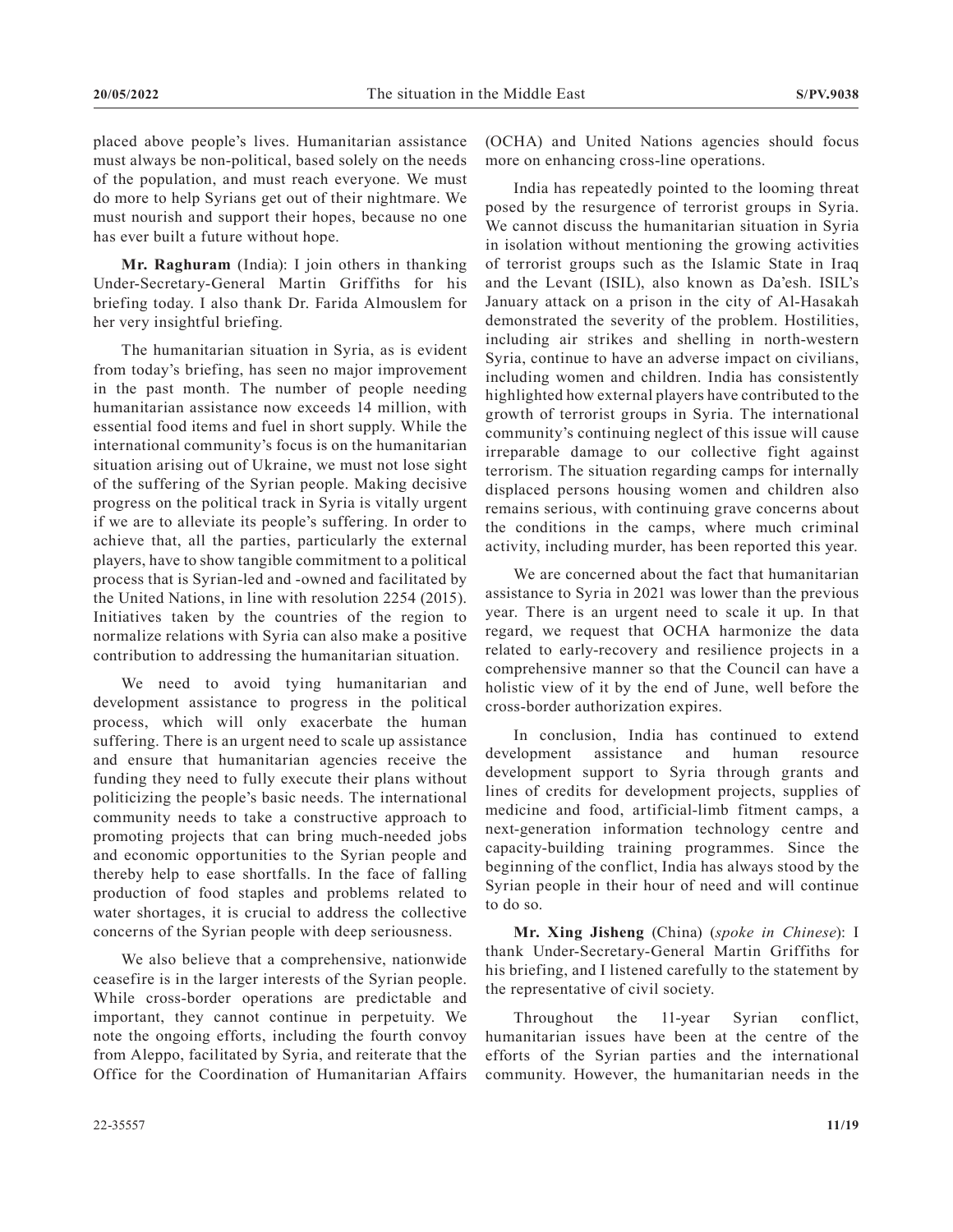placed above people's lives. Humanitarian assistance must always be non-political, based solely on the needs of the population, and must reach everyone. We must do more to help Syrians get out of their nightmare. We must nourish and support their hopes, because no one has ever built a future without hope.

**Mr. Raghuram** (India): I join others in thanking Under-Secretary-General Martin Griffiths for his briefing today. I also thank Dr. Farida Almouslem for her very insightful briefing.

The humanitarian situation in Syria, as is evident from today's briefing, has seen no major improvement in the past month. The number of people needing humanitarian assistance now exceeds 14 million, with essential food items and fuel in short supply. While the international community's focus is on the humanitarian situation arising out of Ukraine, we must not lose sight of the suffering of the Syrian people. Making decisive progress on the political track in Syria is vitally urgent if we are to alleviate its people's suffering. In order to achieve that, all the parties, particularly the external players, have to show tangible commitment to a political process that is Syrian-led and -owned and facilitated by the United Nations, in line with resolution 2254 (2015). Initiatives taken by the countries of the region to normalize relations with Syria can also make a positive contribution to addressing the humanitarian situation.

We need to avoid tying humanitarian and development assistance to progress in the political process, which will only exacerbate the human suffering. There is an urgent need to scale up assistance and ensure that humanitarian agencies receive the funding they need to fully execute their plans without politicizing the people's basic needs. The international community needs to take a constructive approach to promoting projects that can bring much-needed jobs and economic opportunities to the Syrian people and thereby help to ease shortfalls. In the face of falling production of food staples and problems related to water shortages, it is crucial to address the collective concerns of the Syrian people with deep seriousness.

We also believe that a comprehensive, nationwide ceasefire is in the larger interests of the Syrian people. While cross-border operations are predictable and important, they cannot continue in perpetuity. We note the ongoing efforts, including the fourth convoy from Aleppo, facilitated by Syria, and reiterate that the Office for the Coordination of Humanitarian Affairs (OCHA) and United Nations agencies should focus more on enhancing cross-line operations.

India has repeatedly pointed to the looming threat posed by the resurgence of terrorist groups in Syria. We cannot discuss the humanitarian situation in Syria in isolation without mentioning the growing activities of terrorist groups such as the Islamic State in Iraq and the Levant (ISIL), also known as Da'esh. ISIL's January attack on a prison in the city of Al-Hasakah demonstrated the severity of the problem. Hostilities, including air strikes and shelling in north-western Syria, continue to have an adverse impact on civilians, including women and children. India has consistently highlighted how external players have contributed to the growth of terrorist groups in Syria. The international community's continuing neglect of this issue will cause irreparable damage to our collective fight against terrorism. The situation regarding camps for internally displaced persons housing women and children also remains serious, with continuing grave concerns about the conditions in the camps, where much criminal activity, including murder, has been reported this year.

We are concerned about the fact that humanitarian assistance to Syria in 2021 was lower than the previous year. There is an urgent need to scale it up. In that regard, we request that OCHA harmonize the data related to early-recovery and resilience projects in a comprehensive manner so that the Council can have a holistic view of it by the end of June, well before the cross-border authorization expires.

In conclusion, India has continued to extend development assistance and human resource development support to Syria through grants and lines of credits for development projects, supplies of medicine and food, artificial-limb fitment camps, a next-generation information technology centre and capacity-building training programmes. Since the beginning of the conflict, India has always stood by the Syrian people in their hour of need and will continue to do so.

**Mr. Xing Jisheng** (China) (*spoke in Chinese*): I thank Under-Secretary-General Martin Griffiths for his briefing, and I listened carefully to the statement by the representative of civil society.

Throughout the 11-year Syrian conflict, humanitarian issues have been at the centre of the efforts of the Syrian parties and the international community. However, the humanitarian needs in the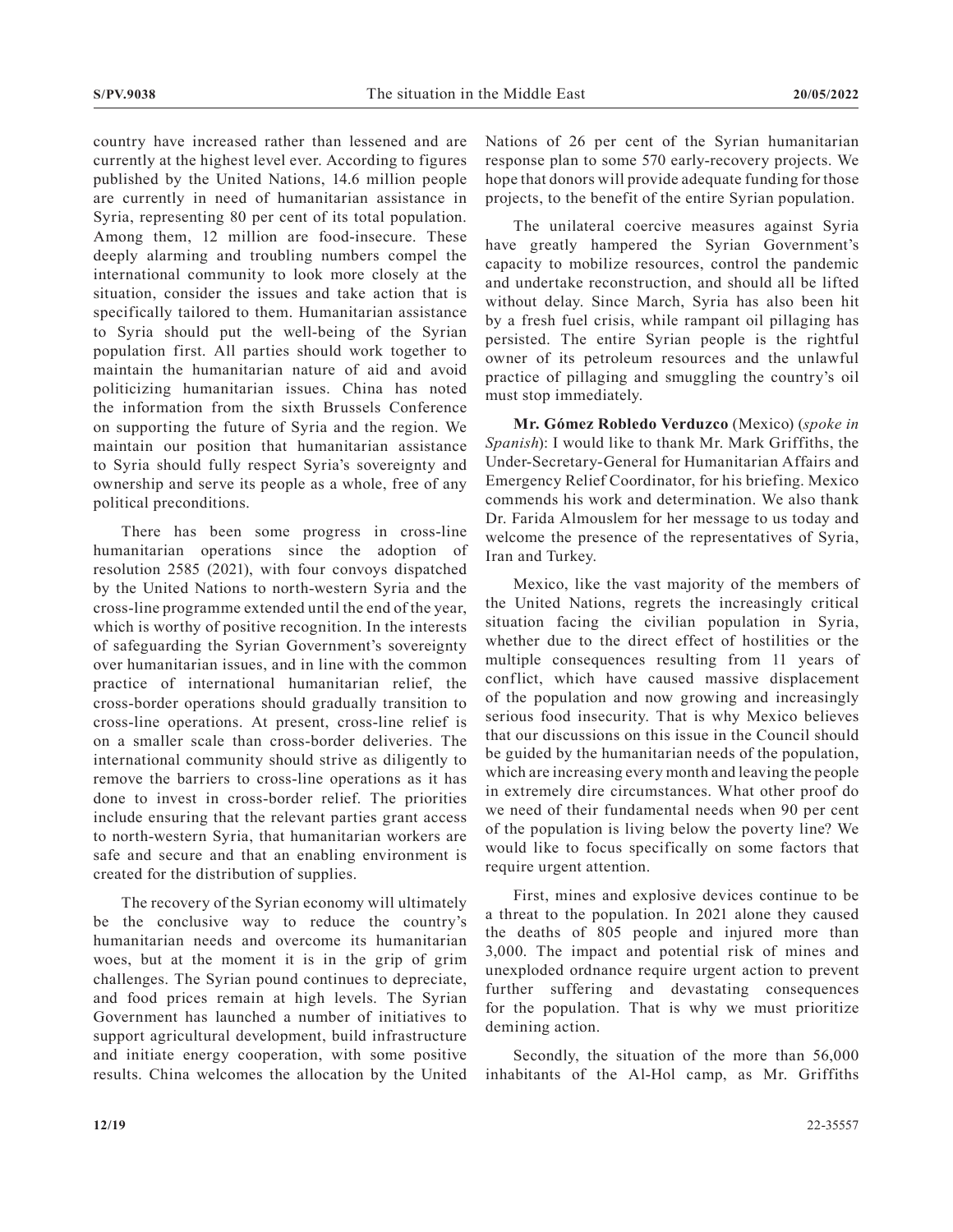country have increased rather than lessened and are currently at the highest level ever. According to figures published by the United Nations, 14.6 million people are currently in need of humanitarian assistance in Syria, representing 80 per cent of its total population. Among them, 12 million are food-insecure. These deeply alarming and troubling numbers compel the international community to look more closely at the situation, consider the issues and take action that is specifically tailored to them. Humanitarian assistance to Syria should put the well-being of the Syrian population first. All parties should work together to maintain the humanitarian nature of aid and avoid politicizing humanitarian issues. China has noted the information from the sixth Brussels Conference on supporting the future of Syria and the region. We maintain our position that humanitarian assistance to Syria should fully respect Syria's sovereignty and ownership and serve its people as a whole, free of any political preconditions.

There has been some progress in cross-line humanitarian operations since the adoption of resolution 2585 (2021), with four convoys dispatched by the United Nations to north-western Syria and the cross-line programme extended until the end of the year, which is worthy of positive recognition. In the interests of safeguarding the Syrian Government's sovereignty over humanitarian issues, and in line with the common practice of international humanitarian relief, the cross-border operations should gradually transition to cross-line operations. At present, cross-line relief is on a smaller scale than cross-border deliveries. The international community should strive as diligently to remove the barriers to cross-line operations as it has done to invest in cross-border relief. The priorities include ensuring that the relevant parties grant access to north-western Syria, that humanitarian workers are safe and secure and that an enabling environment is created for the distribution of supplies.

The recovery of the Syrian economy will ultimately be the conclusive way to reduce the country's humanitarian needs and overcome its humanitarian woes, but at the moment it is in the grip of grim challenges. The Syrian pound continues to depreciate, and food prices remain at high levels. The Syrian Government has launched a number of initiatives to support agricultural development, build infrastructure and initiate energy cooperation, with some positive results. China welcomes the allocation by the United Nations of 26 per cent of the Syrian humanitarian response plan to some 570 early-recovery projects. We hope that donors will provide adequate funding for those projects, to the benefit of the entire Syrian population.

The unilateral coercive measures against Syria have greatly hampered the Syrian Government's capacity to mobilize resources, control the pandemic and undertake reconstruction, and should all be lifted without delay. Since March, Syria has also been hit by a fresh fuel crisis, while rampant oil pillaging has persisted. The entire Syrian people is the rightful owner of its petroleum resources and the unlawful practice of pillaging and smuggling the country's oil must stop immediately.

**Mr. Gómez Robledo Verduzco** (Mexico) (*spoke in Spanish*): I would like to thank Mr. Mark Griffiths, the Under-Secretary-General for Humanitarian Affairs and Emergency Relief Coordinator, for his briefing. Mexico commends his work and determination. We also thank Dr. Farida Almouslem for her message to us today and welcome the presence of the representatives of Syria, Iran and Turkey.

Mexico, like the vast majority of the members of the United Nations, regrets the increasingly critical situation facing the civilian population in Syria, whether due to the direct effect of hostilities or the multiple consequences resulting from 11 years of conflict, which have caused massive displacement of the population and now growing and increasingly serious food insecurity. That is why Mexico believes that our discussions on this issue in the Council should be guided by the humanitarian needs of the population, which are increasing every month and leaving the people in extremely dire circumstances. What other proof do we need of their fundamental needs when 90 per cent of the population is living below the poverty line? We would like to focus specifically on some factors that require urgent attention.

First, mines and explosive devices continue to be a threat to the population. In 2021 alone they caused the deaths of 805 people and injured more than 3,000. The impact and potential risk of mines and unexploded ordnance require urgent action to prevent further suffering and devastating consequences for the population. That is why we must prioritize demining action.

Secondly, the situation of the more than 56,000 inhabitants of the Al-Hol camp, as Mr. Griffiths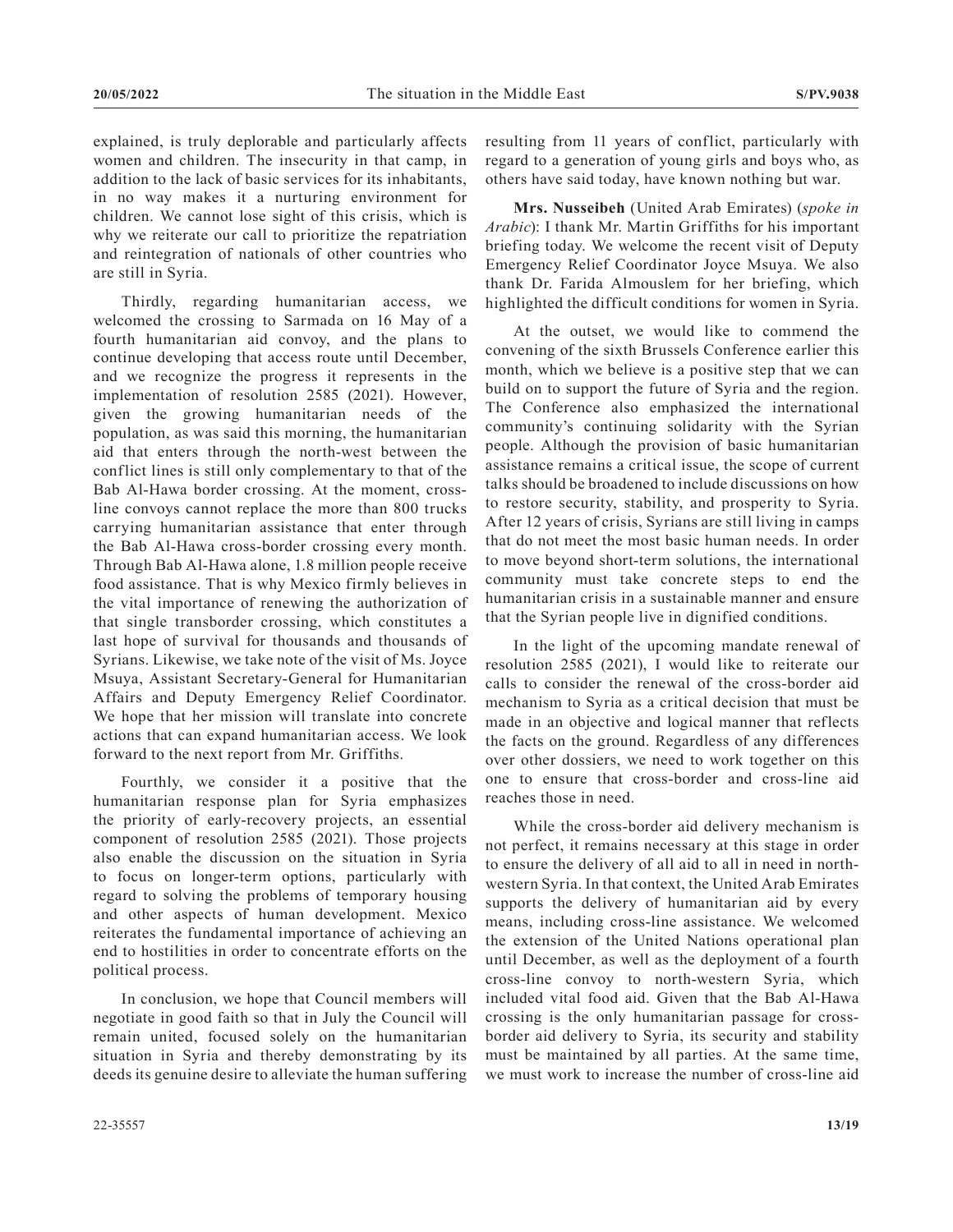explained, is truly deplorable and particularly affects women and children. The insecurity in that camp, in addition to the lack of basic services for its inhabitants, in no way makes it a nurturing environment for children. We cannot lose sight of this crisis, which is why we reiterate our call to prioritize the repatriation and reintegration of nationals of other countries who are still in Syria.

Thirdly, regarding humanitarian access, we welcomed the crossing to Sarmada on 16 May of a fourth humanitarian aid convoy, and the plans to continue developing that access route until December, and we recognize the progress it represents in the implementation of resolution 2585 (2021). However, given the growing humanitarian needs of the population, as was said this morning, the humanitarian aid that enters through the north-west between the conflict lines is still only complementary to that of the Bab Al-Hawa border crossing. At the moment, crossline convoys cannot replace the more than 800 trucks carrying humanitarian assistance that enter through the Bab Al-Hawa cross-border crossing every month. Through Bab Al-Hawa alone, 1.8 million people receive food assistance. That is why Mexico firmly believes in the vital importance of renewing the authorization of that single transborder crossing, which constitutes a last hope of survival for thousands and thousands of Syrians. Likewise, we take note of the visit of Ms. Joyce Msuya, Assistant Secretary-General for Humanitarian Affairs and Deputy Emergency Relief Coordinator. We hope that her mission will translate into concrete actions that can expand humanitarian access. We look forward to the next report from Mr. Griffiths.

Fourthly, we consider it a positive that the humanitarian response plan for Syria emphasizes the priority of early-recovery projects, an essential component of resolution 2585 (2021). Those projects also enable the discussion on the situation in Syria to focus on longer-term options, particularly with regard to solving the problems of temporary housing and other aspects of human development. Mexico reiterates the fundamental importance of achieving an end to hostilities in order to concentrate efforts on the political process.

In conclusion, we hope that Council members will negotiate in good faith so that in July the Council will remain united, focused solely on the humanitarian situation in Syria and thereby demonstrating by its deeds its genuine desire to alleviate the human suffering

**Mrs. Nusseibeh** (United Arab Emirates) (*spoke in Arabic*): I thank Mr. Martin Griffiths for his important briefing today. We welcome the recent visit of Deputy Emergency Relief Coordinator Joyce Msuya. We also thank Dr. Farida Almouslem for her briefing, which highlighted the difficult conditions for women in Syria.

At the outset, we would like to commend the convening of the sixth Brussels Conference earlier this month, which we believe is a positive step that we can build on to support the future of Syria and the region. The Conference also emphasized the international community's continuing solidarity with the Syrian people. Although the provision of basic humanitarian assistance remains a critical issue, the scope of current talks should be broadened to include discussions on how to restore security, stability, and prosperity to Syria. After 12 years of crisis, Syrians are still living in camps that do not meet the most basic human needs. In order to move beyond short-term solutions, the international community must take concrete steps to end the humanitarian crisis in a sustainable manner and ensure that the Syrian people live in dignified conditions.

In the light of the upcoming mandate renewal of resolution 2585 (2021), I would like to reiterate our calls to consider the renewal of the cross-border aid mechanism to Syria as a critical decision that must be made in an objective and logical manner that reflects the facts on the ground. Regardless of any differences over other dossiers, we need to work together on this one to ensure that cross-border and cross-line aid reaches those in need.

While the cross-border aid delivery mechanism is not perfect, it remains necessary at this stage in order to ensure the delivery of all aid to all in need in northwestern Syria. In that context, the United Arab Emirates supports the delivery of humanitarian aid by every means, including cross-line assistance. We welcomed the extension of the United Nations operational plan until December, as well as the deployment of a fourth cross-line convoy to north-western Syria, which included vital food aid. Given that the Bab Al-Hawa crossing is the only humanitarian passage for crossborder aid delivery to Syria, its security and stability must be maintained by all parties. At the same time, we must work to increase the number of cross-line aid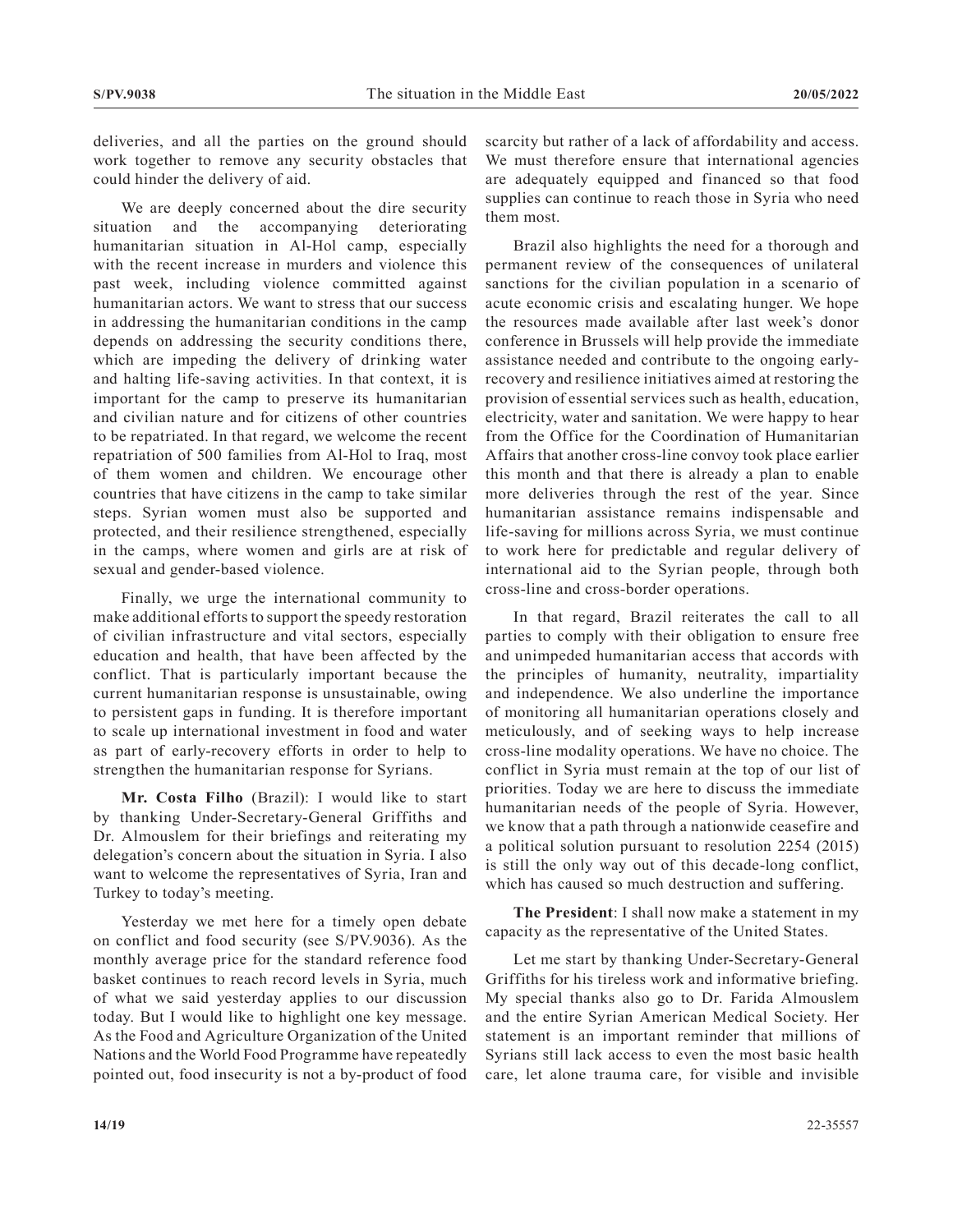deliveries, and all the parties on the ground should work together to remove any security obstacles that could hinder the delivery of aid.

We are deeply concerned about the dire security situation and the accompanying deteriorating humanitarian situation in Al-Hol camp, especially with the recent increase in murders and violence this past week, including violence committed against humanitarian actors. We want to stress that our success in addressing the humanitarian conditions in the camp depends on addressing the security conditions there, which are impeding the delivery of drinking water and halting life-saving activities. In that context, it is important for the camp to preserve its humanitarian and civilian nature and for citizens of other countries to be repatriated. In that regard, we welcome the recent repatriation of 500 families from Al-Hol to Iraq, most of them women and children. We encourage other countries that have citizens in the camp to take similar steps. Syrian women must also be supported and protected, and their resilience strengthened, especially in the camps, where women and girls are at risk of sexual and gender-based violence.

Finally, we urge the international community to make additional efforts to support the speedy restoration of civilian infrastructure and vital sectors, especially education and health, that have been affected by the conflict. That is particularly important because the current humanitarian response is unsustainable, owing to persistent gaps in funding. It is therefore important to scale up international investment in food and water as part of early-recovery efforts in order to help to strengthen the humanitarian response for Syrians.

**Mr. Costa Filho** (Brazil): I would like to start by thanking Under-Secretary-General Griffiths and Dr. Almouslem for their briefings and reiterating my delegation's concern about the situation in Syria. I also want to welcome the representatives of Syria, Iran and Turkey to today's meeting.

Yesterday we met here for a timely open debate on conflict and food security (see S/PV.9036). As the monthly average price for the standard reference food basket continues to reach record levels in Syria, much of what we said yesterday applies to our discussion today. But I would like to highlight one key message. As the Food and Agriculture Organization of the United Nations and the World Food Programme have repeatedly pointed out, food insecurity is not a by-product of food scarcity but rather of a lack of affordability and access. We must therefore ensure that international agencies are adequately equipped and financed so that food supplies can continue to reach those in Syria who need them most.

Brazil also highlights the need for a thorough and permanent review of the consequences of unilateral sanctions for the civilian population in a scenario of acute economic crisis and escalating hunger. We hope the resources made available after last week's donor conference in Brussels will help provide the immediate assistance needed and contribute to the ongoing earlyrecovery and resilience initiatives aimed at restoring the provision of essential services such as health, education, electricity, water and sanitation. We were happy to hear from the Office for the Coordination of Humanitarian Affairs that another cross-line convoy took place earlier this month and that there is already a plan to enable more deliveries through the rest of the year. Since humanitarian assistance remains indispensable and life-saving for millions across Syria, we must continue to work here for predictable and regular delivery of international aid to the Syrian people, through both cross-line and cross-border operations.

In that regard, Brazil reiterates the call to all parties to comply with their obligation to ensure free and unimpeded humanitarian access that accords with the principles of humanity, neutrality, impartiality and independence. We also underline the importance of monitoring all humanitarian operations closely and meticulously, and of seeking ways to help increase cross-line modality operations. We have no choice. The conflict in Syria must remain at the top of our list of priorities. Today we are here to discuss the immediate humanitarian needs of the people of Syria. However, we know that a path through a nationwide ceasefire and a political solution pursuant to resolution 2254 (2015) is still the only way out of this decade-long conflict, which has caused so much destruction and suffering.

**The President**: I shall now make a statement in my capacity as the representative of the United States.

Let me start by thanking Under-Secretary-General Griffiths for his tireless work and informative briefing. My special thanks also go to Dr. Farida Almouslem and the entire Syrian American Medical Society. Her statement is an important reminder that millions of Syrians still lack access to even the most basic health care, let alone trauma care, for visible and invisible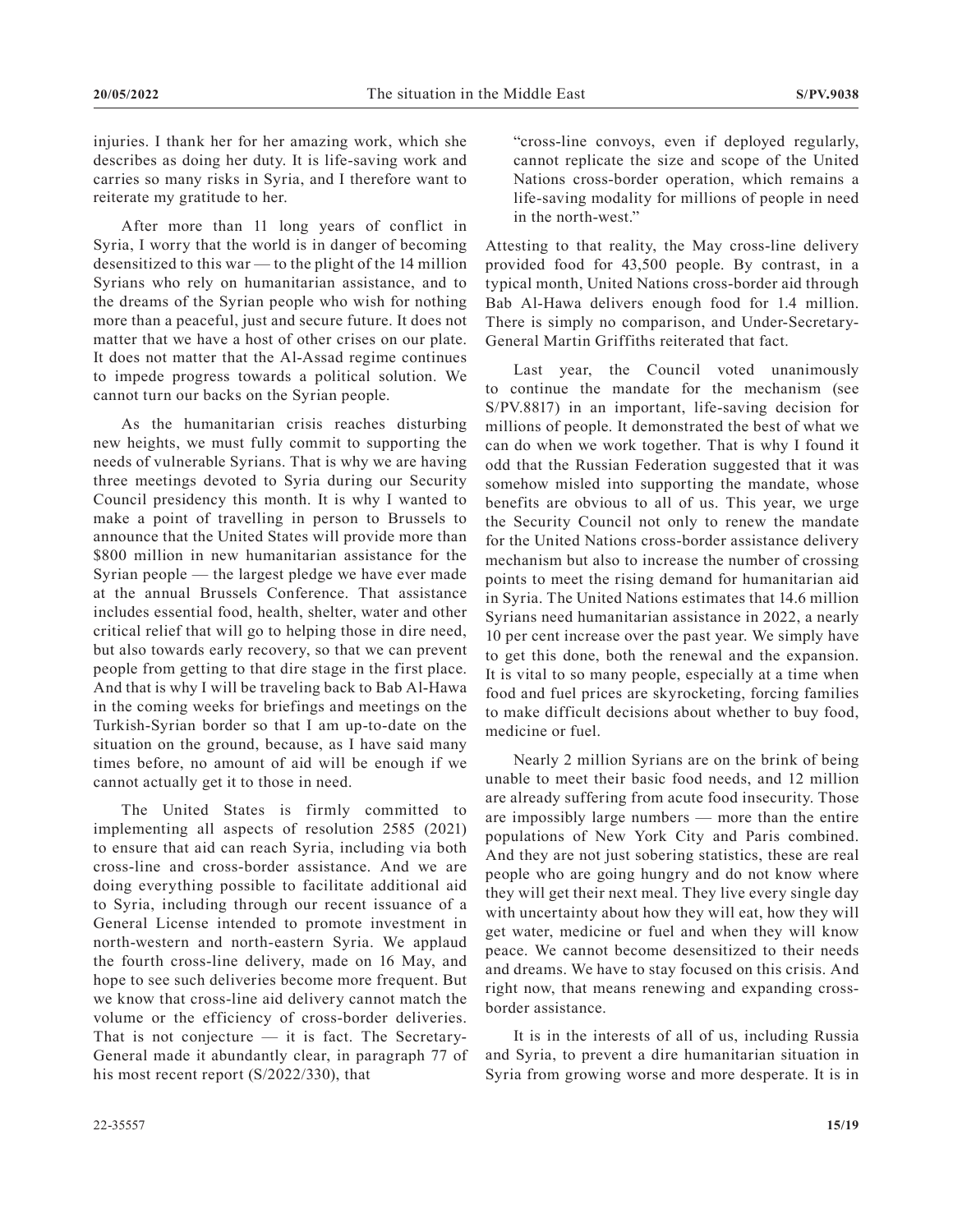injuries. I thank her for her amazing work, which she describes as doing her duty. It is life-saving work and carries so many risks in Syria, and I therefore want to reiterate my gratitude to her.

After more than 11 long years of conflict in Syria, I worry that the world is in danger of becoming desensitized to this war — to the plight of the 14 million Syrians who rely on humanitarian assistance, and to the dreams of the Syrian people who wish for nothing more than a peaceful, just and secure future. It does not matter that we have a host of other crises on our plate. It does not matter that the Al-Assad regime continues to impede progress towards a political solution. We cannot turn our backs on the Syrian people.

As the humanitarian crisis reaches disturbing new heights, we must fully commit to supporting the needs of vulnerable Syrians. That is why we are having three meetings devoted to Syria during our Security Council presidency this month. It is why I wanted to make a point of travelling in person to Brussels to announce that the United States will provide more than \$800 million in new humanitarian assistance for the Syrian people — the largest pledge we have ever made at the annual Brussels Conference. That assistance includes essential food, health, shelter, water and other critical relief that will go to helping those in dire need, but also towards early recovery, so that we can prevent people from getting to that dire stage in the first place. And that is why I will be traveling back to Bab Al-Hawa in the coming weeks for briefings and meetings on the Turkish-Syrian border so that I am up-to-date on the situation on the ground, because, as I have said many times before, no amount of aid will be enough if we cannot actually get it to those in need.

The United States is firmly committed to implementing all aspects of resolution 2585 (2021) to ensure that aid can reach Syria, including via both cross-line and cross-border assistance. And we are doing everything possible to facilitate additional aid to Syria, including through our recent issuance of a General License intended to promote investment in north-western and north-eastern Syria. We applaud the fourth cross-line delivery, made on 16 May, and hope to see such deliveries become more frequent. But we know that cross-line aid delivery cannot match the volume or the efficiency of cross-border deliveries. That is not conjecture  $-$  it is fact. The Secretary-General made it abundantly clear, in paragraph 77 of his most recent report (S/2022/330), that

"cross-line convoys, even if deployed regularly, cannot replicate the size and scope of the United Nations cross-border operation, which remains a life-saving modality for millions of people in need in the north-west."

Attesting to that reality, the May cross-line delivery provided food for 43,500 people. By contrast, in a typical month, United Nations cross-border aid through Bab Al-Hawa delivers enough food for 1.4 million. There is simply no comparison, and Under-Secretary-General Martin Griffiths reiterated that fact.

Last year, the Council voted unanimously to continue the mandate for the mechanism (see S/PV.8817) in an important, life-saving decision for millions of people. It demonstrated the best of what we can do when we work together. That is why I found it odd that the Russian Federation suggested that it was somehow misled into supporting the mandate, whose benefits are obvious to all of us. This year, we urge the Security Council not only to renew the mandate for the United Nations cross-border assistance delivery mechanism but also to increase the number of crossing points to meet the rising demand for humanitarian aid in Syria. The United Nations estimates that 14.6 million Syrians need humanitarian assistance in 2022, a nearly 10 per cent increase over the past year. We simply have to get this done, both the renewal and the expansion. It is vital to so many people, especially at a time when food and fuel prices are skyrocketing, forcing families to make difficult decisions about whether to buy food, medicine or fuel.

Nearly 2 million Syrians are on the brink of being unable to meet their basic food needs, and 12 million are already suffering from acute food insecurity. Those are impossibly large numbers — more than the entire populations of New York City and Paris combined. And they are not just sobering statistics, these are real people who are going hungry and do not know where they will get their next meal. They live every single day with uncertainty about how they will eat, how they will get water, medicine or fuel and when they will know peace. We cannot become desensitized to their needs and dreams. We have to stay focused on this crisis. And right now, that means renewing and expanding crossborder assistance.

It is in the interests of all of us, including Russia and Syria, to prevent a dire humanitarian situation in Syria from growing worse and more desperate. It is in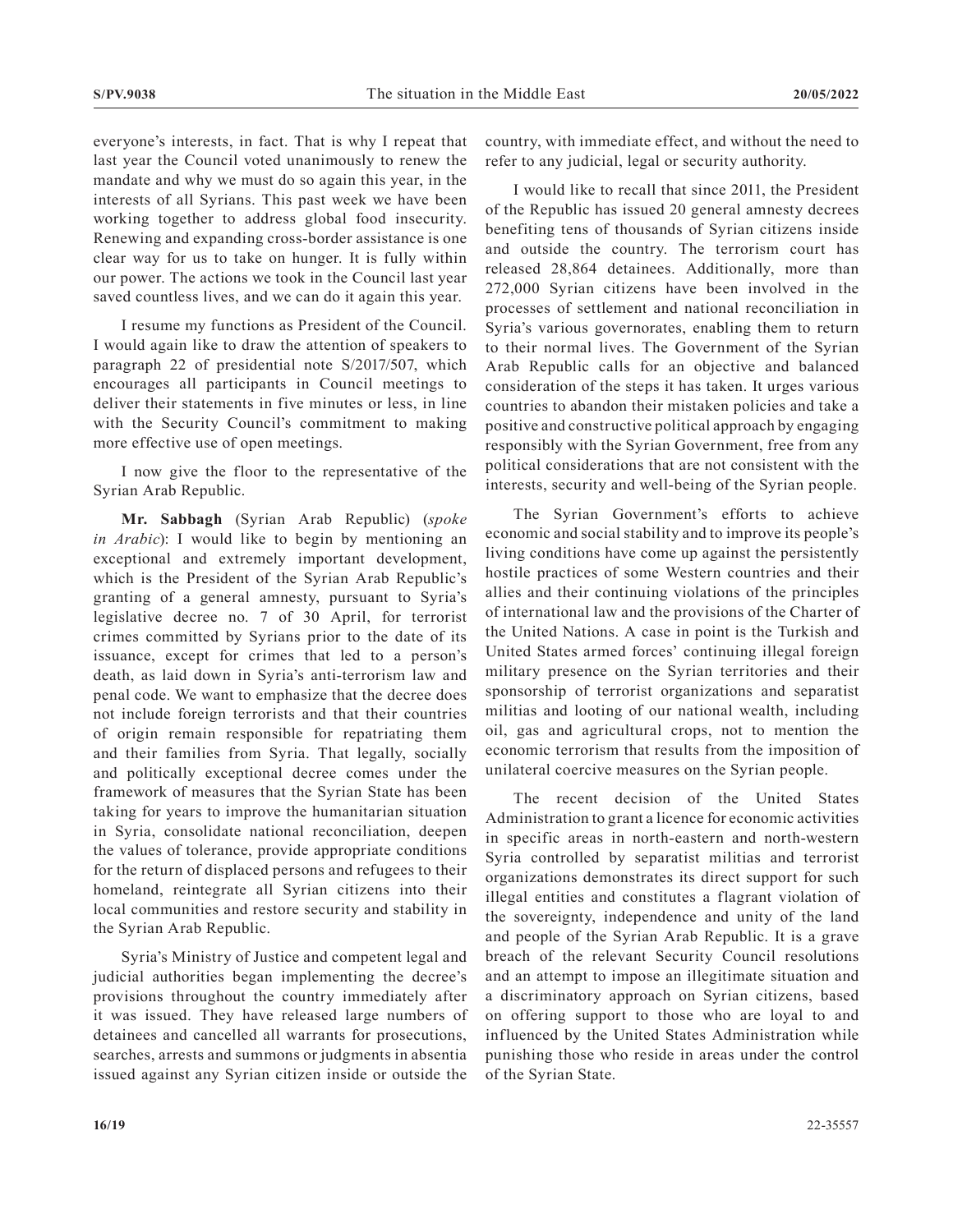everyone's interests, in fact. That is why I repeat that last year the Council voted unanimously to renew the mandate and why we must do so again this year, in the interests of all Syrians. This past week we have been working together to address global food insecurity. Renewing and expanding cross-border assistance is one clear way for us to take on hunger. It is fully within our power. The actions we took in the Council last year saved countless lives, and we can do it again this year.

I resume my functions as President of the Council. I would again like to draw the attention of speakers to paragraph 22 of presidential note S/2017/507, which encourages all participants in Council meetings to deliver their statements in five minutes or less, in line with the Security Council's commitment to making more effective use of open meetings.

I now give the floor to the representative of the Syrian Arab Republic.

**Mr. Sabbagh** (Syrian Arab Republic) (*spoke in Arabic*): I would like to begin by mentioning an exceptional and extremely important development, which is the President of the Syrian Arab Republic's granting of a general amnesty, pursuant to Syria's legislative decree no. 7 of 30 April, for terrorist crimes committed by Syrians prior to the date of its issuance, except for crimes that led to a person's death, as laid down in Syria's anti-terrorism law and penal code. We want to emphasize that the decree does not include foreign terrorists and that their countries of origin remain responsible for repatriating them and their families from Syria. That legally, socially and politically exceptional decree comes under the framework of measures that the Syrian State has been taking for years to improve the humanitarian situation in Syria, consolidate national reconciliation, deepen the values of tolerance, provide appropriate conditions for the return of displaced persons and refugees to their homeland, reintegrate all Syrian citizens into their local communities and restore security and stability in the Syrian Arab Republic.

Syria's Ministry of Justice and competent legal and judicial authorities began implementing the decree's provisions throughout the country immediately after it was issued. They have released large numbers of detainees and cancelled all warrants for prosecutions, searches, arrests and summons or judgments in absentia issued against any Syrian citizen inside or outside the

country, with immediate effect, and without the need to refer to any judicial, legal or security authority.

I would like to recall that since 2011, the President of the Republic has issued 20 general amnesty decrees benefiting tens of thousands of Syrian citizens inside and outside the country. The terrorism court has released 28,864 detainees. Additionally, more than 272,000 Syrian citizens have been involved in the processes of settlement and national reconciliation in Syria's various governorates, enabling them to return to their normal lives. The Government of the Syrian Arab Republic calls for an objective and balanced consideration of the steps it has taken. It urges various countries to abandon their mistaken policies and take a positive and constructive political approach by engaging responsibly with the Syrian Government, free from any political considerations that are not consistent with the interests, security and well-being of the Syrian people.

The Syrian Government's efforts to achieve economic and social stability and to improve its people's living conditions have come up against the persistently hostile practices of some Western countries and their allies and their continuing violations of the principles of international law and the provisions of the Charter of the United Nations. A case in point is the Turkish and United States armed forces' continuing illegal foreign military presence on the Syrian territories and their sponsorship of terrorist organizations and separatist militias and looting of our national wealth, including oil, gas and agricultural crops, not to mention the economic terrorism that results from the imposition of unilateral coercive measures on the Syrian people.

The recent decision of the United States Administration to grant a licence for economic activities in specific areas in north-eastern and north-western Syria controlled by separatist militias and terrorist organizations demonstrates its direct support for such illegal entities and constitutes a flagrant violation of the sovereignty, independence and unity of the land and people of the Syrian Arab Republic. It is a grave breach of the relevant Security Council resolutions and an attempt to impose an illegitimate situation and a discriminatory approach on Syrian citizens, based on offering support to those who are loyal to and influenced by the United States Administration while punishing those who reside in areas under the control of the Syrian State.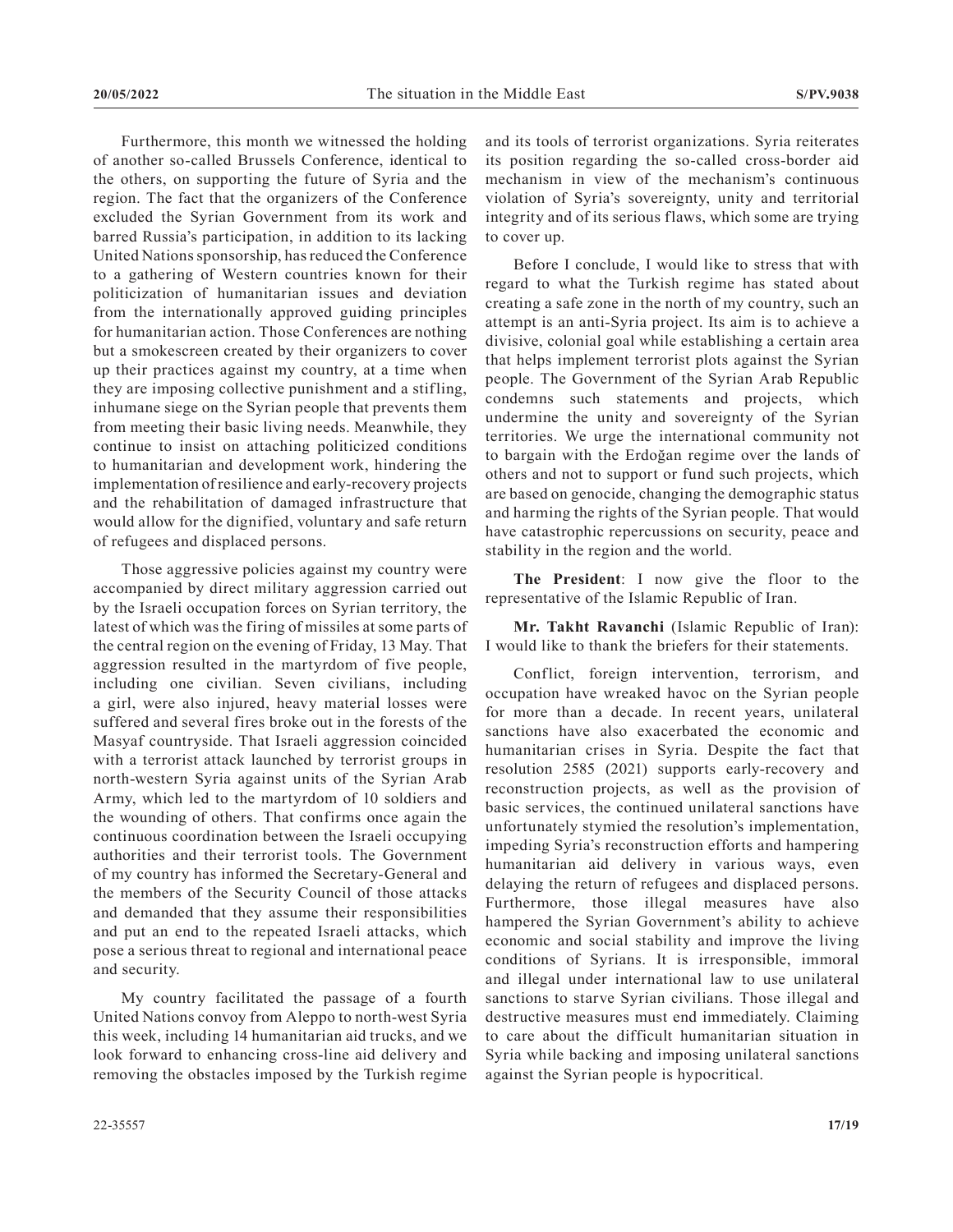Furthermore, this month we witnessed the holding of another so-called Brussels Conference, identical to the others, on supporting the future of Syria and the region. The fact that the organizers of the Conference excluded the Syrian Government from its work and barred Russia's participation, in addition to its lacking United Nations sponsorship, has reduced the Conference to a gathering of Western countries known for their politicization of humanitarian issues and deviation from the internationally approved guiding principles for humanitarian action. Those Conferences are nothing but a smokescreen created by their organizers to cover up their practices against my country, at a time when they are imposing collective punishment and a stifling, inhumane siege on the Syrian people that prevents them from meeting their basic living needs. Meanwhile, they continue to insist on attaching politicized conditions to humanitarian and development work, hindering the implementation of resilience and early-recovery projects and the rehabilitation of damaged infrastructure that would allow for the dignified, voluntary and safe return of refugees and displaced persons.

Those aggressive policies against my country were accompanied by direct military aggression carried out by the Israeli occupation forces on Syrian territory, the latest of which was the firing of missiles at some parts of the central region on the evening of Friday, 13 May. That aggression resulted in the martyrdom of five people, including one civilian. Seven civilians, including a girl, were also injured, heavy material losses were suffered and several fires broke out in the forests of the Masyaf countryside. That Israeli aggression coincided with a terrorist attack launched by terrorist groups in north-western Syria against units of the Syrian Arab Army, which led to the martyrdom of 10 soldiers and the wounding of others. That confirms once again the continuous coordination between the Israeli occupying authorities and their terrorist tools. The Government of my country has informed the Secretary-General and the members of the Security Council of those attacks and demanded that they assume their responsibilities and put an end to the repeated Israeli attacks, which pose a serious threat to regional and international peace and security.

My country facilitated the passage of a fourth United Nations convoy from Aleppo to north-west Syria this week, including 14 humanitarian aid trucks, and we look forward to enhancing cross-line aid delivery and removing the obstacles imposed by the Turkish regime

and its tools of terrorist organizations. Syria reiterates its position regarding the so-called cross-border aid mechanism in view of the mechanism's continuous violation of Syria's sovereignty, unity and territorial integrity and of its serious flaws, which some are trying to cover up.

Before I conclude, I would like to stress that with regard to what the Turkish regime has stated about creating a safe zone in the north of my country, such an attempt is an anti-Syria project. Its aim is to achieve a divisive, colonial goal while establishing a certain area that helps implement terrorist plots against the Syrian people. The Government of the Syrian Arab Republic condemns such statements and projects, which undermine the unity and sovereignty of the Syrian territories. We urge the international community not to bargain with the Erdoğan regime over the lands of others and not to support or fund such projects, which are based on genocide, changing the demographic status and harming the rights of the Syrian people. That would have catastrophic repercussions on security, peace and stability in the region and the world.

**The President**: I now give the floor to the representative of the Islamic Republic of Iran.

**Mr. Takht Ravanchi** (Islamic Republic of Iran): I would like to thank the briefers for their statements.

Conflict, foreign intervention, terrorism, and occupation have wreaked havoc on the Syrian people for more than a decade. In recent years, unilateral sanctions have also exacerbated the economic and humanitarian crises in Syria. Despite the fact that resolution 2585 (2021) supports early-recovery and reconstruction projects, as well as the provision of basic services, the continued unilateral sanctions have unfortunately stymied the resolution's implementation, impeding Syria's reconstruction efforts and hampering humanitarian aid delivery in various ways, even delaying the return of refugees and displaced persons. Furthermore, those illegal measures have also hampered the Syrian Government's ability to achieve economic and social stability and improve the living conditions of Syrians. It is irresponsible, immoral and illegal under international law to use unilateral sanctions to starve Syrian civilians. Those illegal and destructive measures must end immediately. Claiming to care about the difficult humanitarian situation in Syria while backing and imposing unilateral sanctions against the Syrian people is hypocritical.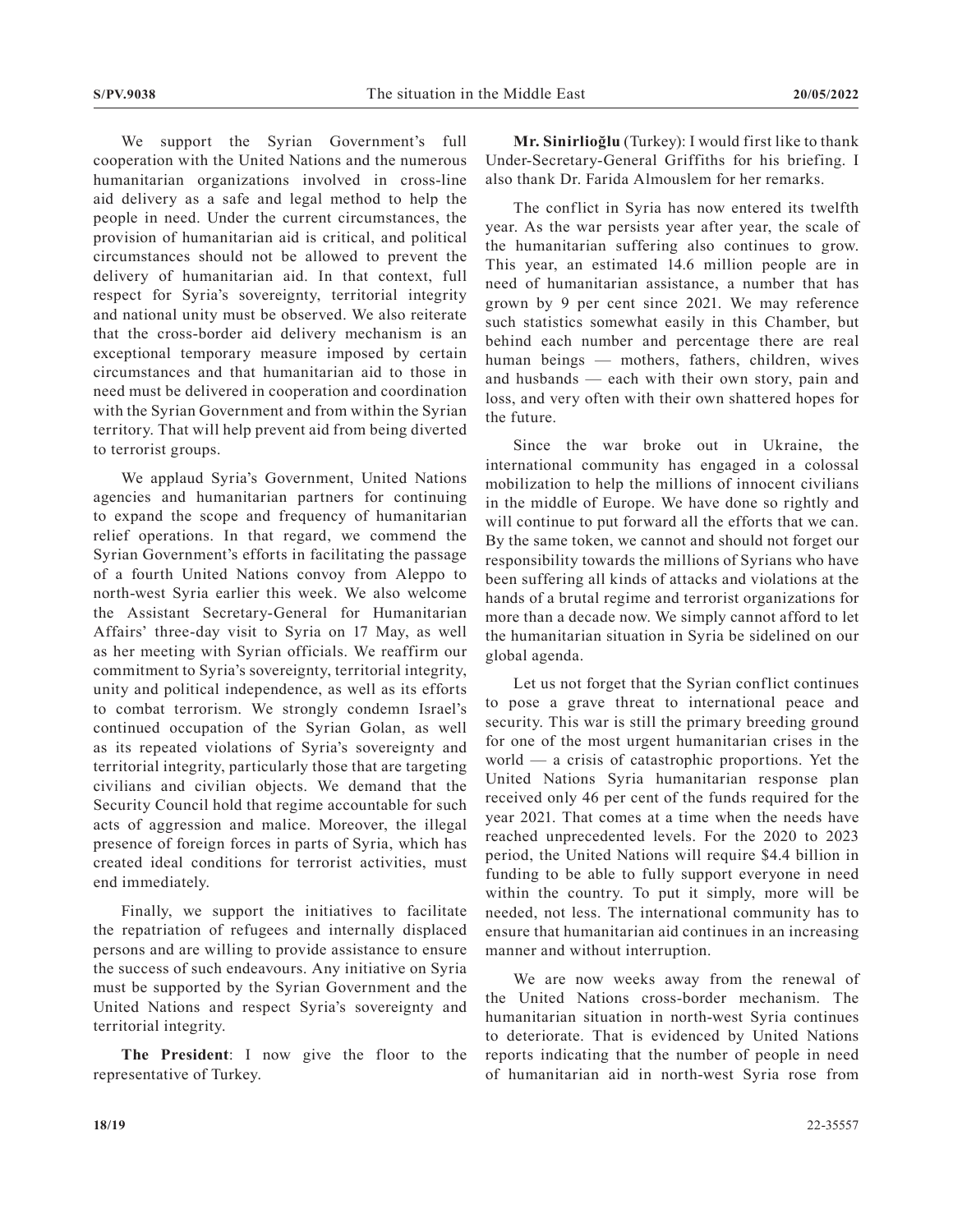We support the Syrian Government's full cooperation with the United Nations and the numerous humanitarian organizations involved in cross-line aid delivery as a safe and legal method to help the people in need. Under the current circumstances, the provision of humanitarian aid is critical, and political circumstances should not be allowed to prevent the delivery of humanitarian aid. In that context, full respect for Syria's sovereignty, territorial integrity and national unity must be observed. We also reiterate that the cross-border aid delivery mechanism is an exceptional temporary measure imposed by certain circumstances and that humanitarian aid to those in need must be delivered in cooperation and coordination with the Syrian Government and from within the Syrian territory. That will help prevent aid from being diverted to terrorist groups.

We applaud Syria's Government, United Nations agencies and humanitarian partners for continuing to expand the scope and frequency of humanitarian relief operations. In that regard, we commend the Syrian Government's efforts in facilitating the passage of a fourth United Nations convoy from Aleppo to north-west Syria earlier this week. We also welcome the Assistant Secretary-General for Humanitarian Affairs' three-day visit to Syria on 17 May, as well as her meeting with Syrian officials. We reaffirm our commitment to Syria's sovereignty, territorial integrity, unity and political independence, as well as its efforts to combat terrorism. We strongly condemn Israel's continued occupation of the Syrian Golan, as well as its repeated violations of Syria's sovereignty and territorial integrity, particularly those that are targeting civilians and civilian objects. We demand that the Security Council hold that regime accountable for such acts of aggression and malice. Moreover, the illegal presence of foreign forces in parts of Syria, which has created ideal conditions for terrorist activities, must end immediately.

Finally, we support the initiatives to facilitate the repatriation of refugees and internally displaced persons and are willing to provide assistance to ensure the success of such endeavours. Any initiative on Syria must be supported by the Syrian Government and the United Nations and respect Syria's sovereignty and territorial integrity.

**The President**: I now give the floor to the representative of Turkey.

**Mr. Sinirlioğlu** (Turkey): I would first like to thank Under-Secretary-General Griffiths for his briefing. I also thank Dr. Farida Almouslem for her remarks.

The conflict in Syria has now entered its twelfth year. As the war persists year after year, the scale of the humanitarian suffering also continues to grow. This year, an estimated 14.6 million people are in need of humanitarian assistance, a number that has grown by 9 per cent since 2021. We may reference such statistics somewhat easily in this Chamber, but behind each number and percentage there are real human beings — mothers, fathers, children, wives and husbands — each with their own story, pain and loss, and very often with their own shattered hopes for the future.

Since the war broke out in Ukraine, the international community has engaged in a colossal mobilization to help the millions of innocent civilians in the middle of Europe. We have done so rightly and will continue to put forward all the efforts that we can. By the same token, we cannot and should not forget our responsibility towards the millions of Syrians who have been suffering all kinds of attacks and violations at the hands of a brutal regime and terrorist organizations for more than a decade now. We simply cannot afford to let the humanitarian situation in Syria be sidelined on our global agenda.

Let us not forget that the Syrian conflict continues to pose a grave threat to international peace and security. This war is still the primary breeding ground for one of the most urgent humanitarian crises in the world — a crisis of catastrophic proportions. Yet the United Nations Syria humanitarian response plan received only 46 per cent of the funds required for the year 2021. That comes at a time when the needs have reached unprecedented levels. For the 2020 to 2023 period, the United Nations will require \$4.4 billion in funding to be able to fully support everyone in need within the country. To put it simply, more will be needed, not less. The international community has to ensure that humanitarian aid continues in an increasing manner and without interruption.

We are now weeks away from the renewal of the United Nations cross-border mechanism. The humanitarian situation in north-west Syria continues to deteriorate. That is evidenced by United Nations reports indicating that the number of people in need of humanitarian aid in north-west Syria rose from